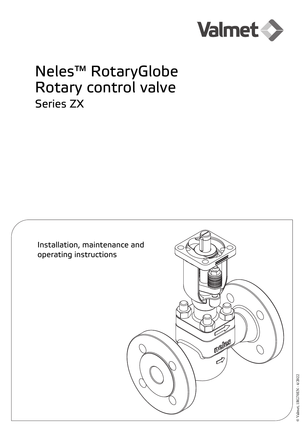

# Neles™ RotaryGlobe Rotary control valve Series ZX

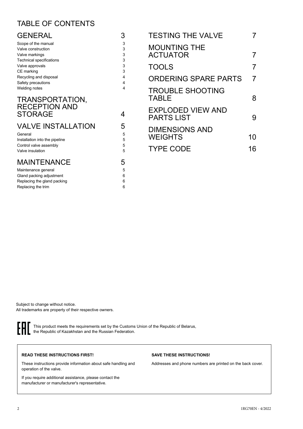## TABLE OF CONTENTS

| <b>GENERAL</b>                                                                                 | 3                | <b>TESTING THE VALVE</b>                      |                |
|------------------------------------------------------------------------------------------------|------------------|-----------------------------------------------|----------------|
| Scope of the manual<br>Valve construction<br>Valve markings<br><b>Technical specifications</b> | 3<br>3<br>3<br>3 | <b>MOUNTING THE</b><br><b>ACTUATOR</b>        | 7              |
| Valve approvals                                                                                | 3<br>3           | <b>TOOLS</b>                                  | $\overline{7}$ |
| CE marking<br>Recycling and disposal<br>Safety precautions                                     | 4<br>4           | <b>ORDERING SPARE PARTS</b>                   | $\overline{7}$ |
| Welding notes<br>TRANSPORTATION,                                                               | 4                | <b>TROUBLE SHOOTING</b><br><b>TABLE</b>       | 8              |
| <b>RECEPTION AND</b><br><b>STORAGE</b>                                                         | 4                | <b>EXPLODED VIEW AND</b><br><b>PARTS LIST</b> | 9              |
| <b>VALVE INSTALLATION</b><br>General<br>Installation into the pipeline                         | 5<br>5<br>5      | <b>DIMENSIONS AND</b><br><b>WEIGHTS</b>       | 10             |
| Control valve assembly<br>Valve insulation                                                     | 5<br>5           | <b>TYPE CODE</b>                              | 16             |
| <b>MAINTENANCE</b>                                                                             | 5                |                                               |                |
| Maintenance general<br>Gland packing adjustment<br>Replacing the gland packing                 | 5<br>6<br>6      |                                               |                |

Subject to change without notice. All trademarks are property of their respective owners.

[Replacing the trim 6](#page-5-2)



This product meets the requirements set by the Customs Union of the Republic of Belarus, the Republic of Kazakhstan and the Russian Federation.

#### **READ THESE INSTRUCTIONS FIRST!**

These instructions provide information about safe handling and operation of the valve.

If you require additional assistance, please contact the manufacturer or manufacturer's representative.

#### **SAVE THESE INSTRUCTIONS!**

Addresses and phone numbers are printed on the back cover.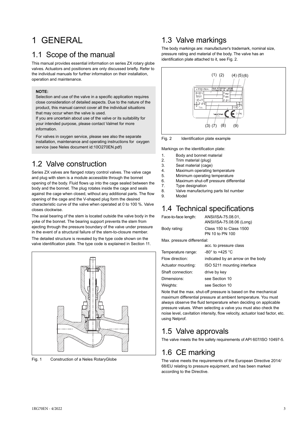## <span id="page-2-0"></span>1 GENERAL

### <span id="page-2-1"></span>1.1 Scope of the manual

This manual provides essential information on series ZX rotary globe valves. Actuators and positioners are only discussed briefly. Refer to the individual manuals for further information on their installation, operation and maintenance.

#### **NOTE:**

Selection and use of the valve in a specific application requires close consideration of detailed aspects. Due to the nature of the product, this manual cannot cover all the individual situations that may occur when the valve is used.

If you are uncertain about use of the valve or its suitability for your intended purpose, please contact Valmet for more information.

For valves in oxygen service, please see also the separate installation, maintenance and operating instructions for oxygen service (see Neles document id:10O270EN.pdf)

### <span id="page-2-2"></span>1.2 Valve construction

Series ZX valves are flanged rotary control valves. The valve cage and plug with stem is a module accessible through the bonnet opening of the body. Fluid flows up into the cage sealed between the body and the bonnet. The plug rotates inside the cage and seals against the cage when closed, without any additional parts. The flow opening of the cage and the V-shaped plug form the desired characteristic curve of the valve when operated at 0 to 100 %. Valve closes clockwise.

The axial bearing of the stem is located outside the valve body in the yoke of the bonnet. The bearing support prevents the stem from ejecting through the pressure boundary of the valve under pressure in the event of a structural failure of the stem-to-closure member. The detailed structure is revealed by the type code shown on the valve identification plate. The type code is explained in Section 11.



Fig. 1 Construction of a Neles RotaryGlobe

### <span id="page-2-3"></span>1.3 Valve markings

The body markings are: manufacturer's trademark, nominal size, pressure rating and material of the body. The valve has an identification plate attached to it, see Fig. 2.



Fig. 2 Identification plate example

Markings on the identification plate:

- 1. Body and bonnet material
- 2. Trim material (plug)
- 
- 3. Seat material (cage)<br>4. Maximum operating Maximum operating temperature
- 5. Minimum operating temperature
- 6. Maximum shut-off pressure differential
- 7. Type designation
- 8. Valve manufacturing parts list number
- 9. Model

## <span id="page-2-4"></span>1.4 Technical specifications

| Face-to-face length:                                                                   | ANSI/ISA-75.08.01.                         |  |  |  |  |
|----------------------------------------------------------------------------------------|--------------------------------------------|--|--|--|--|
|                                                                                        | ANSI/ISA-75.08.06 (Long)                   |  |  |  |  |
| Body rating:                                                                           | Class 150 to Class 1500<br>PN 10 to PN 100 |  |  |  |  |
| March and decided attributions of the little of the little of the little of the little |                                            |  |  |  |  |

Max. pressure differential:

|                    | acc. to pressure class            |
|--------------------|-----------------------------------|
| Temperature range: | $-80^{\circ}$ to $+425^{\circ}$ C |
| Flow direction:    | indicated by an arrow on the body |
| Actuator mounting: | ISO 5211 mounting interface       |
| Shaft connection:  | drive by key                      |
| Dimensions:        | see Section 10                    |
| Weights:           | see Section 10                    |

Note that the max. shut-off pressure is based on the mechanical maximum differential pressure at ambient temperature. You must always observe the fluid temperature when deciding on applicable pressure values. When selecting a valve you must also check the noise level, cavitation intensity, flow velocity, actuator load factor, etc. using Nelprof.

## <span id="page-2-5"></span>1.5 Valve approvals

The valve meets the fire safety requirements of API 607/ISO 10497-5.

## <span id="page-2-6"></span>1.6 CE marking

The valve meets the requirements of the European Directive 2014/ 68/EU relating to pressure equipment, and has been marked according to the Directive.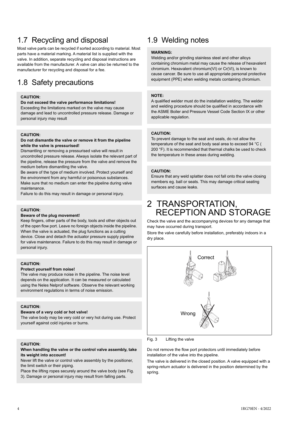## <span id="page-3-0"></span>1.7 Recycling and disposal

Most valve parts can be recycled if sorted according to material. Most parts have a material marking. A material list is supplied with the valve. In addition, separate recycling and disposal instructions are available from the manufacturer. A valve can also be returned to the manufacturer for recycling and disposal for a fee.

## <span id="page-3-1"></span>1.8 Safety precautions

#### **CAUTION:**

#### **Do not exceed the valve performance limitations!**

Exceeding the limitations marked on the valve may cause damage and lead to uncontrolled pressure release. Damage or personal injury may result

#### **CAUTION:**

#### **Do not dismantle the valve or remove it from the pipeline while the valve is pressurised!**

Dismantling or removing a pressurised valve will result in uncontrolled pressure release. Always isolate the relevant part of the pipeline, release the pressure from the valve and remove the medium before dismantling the valve.

Be aware of the type of medium involved. Protect yourself and the environment from any harmful or poisonous substances. Make sure that no medium can enter the pipeline during valve maintenance.

Failure to do this may result in damage or personal injury.

#### **CAUTION:**

#### **Beware of the plug movement!**

Keep fingers, other parts of the body, tools and other objects out of the open flow port. Leave no foreign objects inside the pipeline. When the valve is actuated, the plug functions as a cutting device. Close and detach the actuator pressure supply pipeline for valve maintenance. Failure to do this may result in damage or personal injury.

#### **CAUTION:**

#### **Protect yourself from noise!**

The valve may produce noise in the pipeline. The noise level depends on the application. It can be measured or calculated using the Neles Nelprof software. Observe the relevant working environment regulations in terms of noise emission.

#### **CAUTION:**

#### **Beware of a very cold or hot valve!**

The valve body may be very cold or very hot during use. Protect yourself against cold injuries or burns.

#### **CAUTION:**

#### **When handling the valve or the control valve assembly, take its weight into account!**

Never lift the valve or control valve assembly by the positioner, the limit switch or their piping.

Place the lifting ropes securely around the valve body (see Fig. 3). Damage or personal injury may result from falling parts.

## <span id="page-3-2"></span>1.9 Welding notes

#### **WARNING:**

Welding and/or grinding stainless steel and other alloys containing chromium metal may cause the release of hexavalent chromium. Hexavalent chromium(VI) or Cr(VI), is known to cause cancer. Be sure to use all appropriate personal protective equipment (PPE) when welding metals containing chromium.

#### **NOTE:**

A qualified welder must do the installation welding. The welder and welding procedure should be qualified in accordance with the ASME Boiler and Pressure Vessel Code Section IX or other applicable regulation.

#### **CAUTION:**

To prevent damage to the seat and seals, do not allow the temperature of the seat and body seal area to exceed 94 °C ( 200 °F). It is recommended that thermal chalks be used to check the temperature in these areas during welding.

#### **CAUTION:**

Ensure that any weld splatter does not fall onto the valve closing members eg. ball or seats. This may damage critical seating surfaces and cause leaks.

## <span id="page-3-3"></span>2 TRANSPORTATION, RECEPTION AND STORAGE

Check the valve and the accompanying devices for any damage that may have occurred during transport.

Store the valve carefully before installation, preferably indoors in a dry place.



Fig. 3 Lifting the valve

Do not remove the flow port protectors until immediately before installation of the valve into the pipeline.

The valve is delivered in the closed position. A valve equipped with a spring-return actuator is delivered in the position determined by the spring.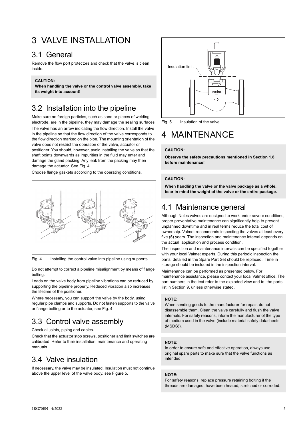## <span id="page-4-0"></span>3 VALVE INSTALLATION

### <span id="page-4-1"></span>3.1 General

Remove the flow port protectors and check that the valve is clean inside.

#### **CAUTION:**

**When handling the valve or the control valve assembly, take its weight into account!**

## <span id="page-4-2"></span>3.2 Installation into the pipeline

Make sure no foreign particles, such as sand or pieces of welding electrode, are in the pipeline, they may damage the sealing surfaces. The valve has an arrow indicating the flow direction. Install the valve in the pipeline so that the flow direction of the valve corresponds to the flow direction marked on the pipe. The mounting orientation of the valve does not restrict the operation of the valve, actuator or positioner. You should, however, avoid installing the valve so that the shaft points downwards as impurities in the fluid may enter and damage the gland packing. Any leak from the packing may then damage the actuator. See Fig. 4.

Choose flange gaskets according to the operating conditions.



Fig. 4 Installing the control valve into pipeline using supports

Do not attempt to correct a pipeline misalignment by means of flange bolting.

Loads on the valve body from pipeline vibrations can be reduced by supporting the pipeline properly. Reduced vibration also increases the lifetime of the positioner.

Where necessary, you can support the valve by the body, using regular pipe clamps and supports. Do not fasten supports to the valve or flange bolting or to the actuator, see Fig. 4.

## <span id="page-4-3"></span>3.3 Control valve assembly

Check all joints, piping and cables.

Check that the actuator stop screws, positioner and limit switches are calibrated. Refer to their installation, maintenance and operating manuals.

## <span id="page-4-4"></span>3.4 Valve insulation

If necessary, the valve may be insulated. Insulation must not continue above the upper level of the valve body, see Figure 5.



Fig. 5 Insulation of the valve

## <span id="page-4-5"></span>4 MAINTENANCE

#### **CAUTION:**

**Observe the safety precautions mentioned in Section 1.8 before maintenance!**

#### **CAUTION:**

**When handling the valve or the valve package as a whole, bear in mind the weight of the valve or the entire package.**

### <span id="page-4-6"></span>4.1 Maintenance general

Although Neles valves are designed to work under severe conditions, proper preventative maintenance can significantly help to prevent unplanned downtime and in real terms reduce the total cost of ownership. Valmet recommends inspecting the valves at least every five (5) years. The inspection and maintenance interval depends on the actual application and process condition.

The inspection and maintenance intervals can be specified together with your local Valmet experts. During this periodic inspection the parts detailed in the Spare Part Set should be replaced. Time in storage should be included in the inspection interval.

Maintenance can be performed as presented below. For maintenance assistance, please contact your local Valmet office. The part numbers in the text refer to the exploded view and to the parts list in Section 9, unless otherwise stated.

#### **NOTE:**

When sending goods to the manufacturer for repair, do not disassemble them. Clean the valve carefully and flush the valve internals. For safety reasons, inform the manufacturer of the type of medium used in the valve (include material safety datasheets (MSDS)).

#### **NOTE:**

In order to ensure safe and effective operation, always use original spare parts to make sure that the valve functions as intended.

#### **NOTE:**

For safety reasons, replace pressure retaining bolting if the threads are damaged, have been heated, stretched or corroded.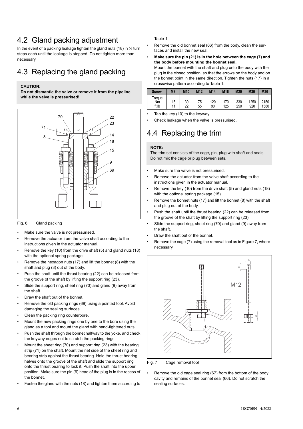## <span id="page-5-0"></span>4.2 Gland packing adjustment

In the event of a packing leakage tighten the gland nuts (18) in  $\frac{1}{4}$  turn steps each until the leakage is stopped. Do not tighten more than necessary.

## <span id="page-5-1"></span>4.3 Replacing the gland packing

#### **CAUTION:**

**Do not dismantle the valve or remove it from the pipeline while the valve is pressurised!**



#### Fig. 6 Gland packing

- Make sure the valve is not pressurised.
- Remove the actuator from the valve shaft according to the instructions given in the actuator manual.
- Remove the key (10) from the drive shaft (5) and gland nuts (18) with the optional spring package
- Remove the hexagon nuts (17) and lift the bonnet (8) with the shaft and plug (3) out of the body.
- Push the shaft until the thrust bearing (22) can be released from the groove of the shaft by lifting the support ring (23).
- Slide the support ring, sheet ring (70) and gland (9) away from the shaft.
- Draw the shaft out of the bonnet.
- Remove the old packing rings (69) using a pointed tool. Avoid damaging the sealing surfaces.
- Clean the packing ring counterbore.
- Mount the new packing rings one by one to the bore using the gland as a tool and mount the gland with hand-tightened nuts.
- Push the shaft through the bonnet halfway to the yoke, and check the keyway edges not to scratch the packing rings.
- Mount the sheet ring (70) and support ring (23) with the bearing strip (71) on the shaft. Mount the net side of the sheet ring and bearing strip against the thrust bearing. Hold the thrust bearing halves onto the groove of the shaft and slide the support ring onto the thrust bearing to lock it. Push the shaft into the upper position. Make sure the pin (6) head of the plug is in the recess of the bonnet.
- Fasten the gland with the nuts (18) and tighten them according to

#### Table 1.

- Remove the old bonnet seal (66) from the body, clean the surfaces and install the new seal.
- **Make sure the pin (21) is in the hole between the cage (7) and the body before mounting the bonnet seal.**
- Mount the bonnet with the shaft and plug onto the body with the plug in the closed position, so that the arrows on the body and on the bonnet point in the same direction. Tighten the nuts (17) in a crosswise pattern according to Table 1.

| <b>Screw</b>          | M <sub>8</sub> | M <sub>10</sub> | M <sub>12</sub> | M14       | M <sub>16</sub> | M20        | M30         | M36          |
|-----------------------|----------------|-----------------|-----------------|-----------|-----------------|------------|-------------|--------------|
| Torque<br>Nm<br>ft Ib | 15<br>11       | 30<br>22        | 75<br>55        | 120<br>90 | 170<br>125      | 330<br>250 | 1250<br>920 | 2150<br>1580 |

- Tap the key (10) to the keyway.
- Check leakage when the valve is pressurised.

## <span id="page-5-2"></span>4.4 Replacing the trim

#### **NOTE:**

The trim set consists of the cage, pin, plug with shaft and seals. Do not mix the cage or plug between sets.

- Make sure the valve is not pressurised.
- Remove the actuator from the valve shaft according to the instructions given in the actuator manual.
- Remove the key (10) from the drive shaft (5) and gland nuts (18) with the optional spring package (15).
- Remove the bonnet nuts (17) and lift the bonnet (8) with the shaft and plug out of the body.
- Push the shaft until the thrust bearing (22) can be released from the groove of the shaft by lifting the support ring (23).
- Slide the support ring, sheet ring (70) and gland (9) away from the shaft.
- Draw the shaft out of the bonnet.
- Remove the cage (7) using the removal tool as in Figure 7, where necessary.



Fig. 7 Cage removal tool

• Remove the old cage seal ring (67) from the bottom of the body cavity and remains of the bonnet seal (66). Do not scratch the sealing surfaces.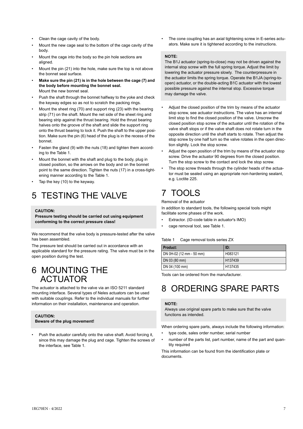- Clean the cage cavity of the body.
- Mount the new cage seal to the bottom of the cage cavity of the body.
- Mount the cage into the body so the pin hole sections are aligned.
- Mount the pin (21) into the hole, make sure the top is not above the bonnet seal surface.
- **Make sure the pin (21) is in the hole between the cage (7) and the body before mounting the bonnet seal.** Mount the new bonnet seal.
- Push the shaft through the bonnet halfway to the yoke and check the keyway edges so as not to scratch the packing rings.
- Mount the sheet ring (70) and support ring (23) with the bearing strip (71) on the shaft. Mount the net side of the sheet ring and bearing strip against the thrust bearing. Hold the thrust bearing halves onto the groove of the shaft and slide the support ring onto the thrust bearing to lock it. Push the shaft to the upper position. Make sure the pin (6) head of the plug is in the recess of the bonnet.
- Fasten the gland (9) with the nuts (18) and tighten them according to the Table 1.
- Mount the bonnet with the shaft and plug to the body, plug in closed position, so the arrows on the body and on the bonnet point to the same direction. Tighten the nuts (17) in a cross-tightening manner according to the Table 1.
- Tap the key (10) to the keyway.

## <span id="page-6-0"></span>5 TESTING THE VALVE

#### **CAUTION:**

**Pressure testing should be carried out using equipment conforming to the correct pressure class!**

We recommend that the valve body is pressure-tested after the valve has been assembled.

The pressure test should be carried out in accordance with an applicable standard for the pressure rating. The valve must be in the open position during the test.

### <span id="page-6-1"></span>6 MOUNTING THE ACTUATOR

The actuator is attached to the valve via an ISO 5211 standard mounting interface. Several types of Neles actuators can be used with suitable couplings. Refer to the individual manuals for further information on their installation, maintenance and operation.

#### **CAUTION:**

**Beware of the plug movement!**

• Push the actuator carefully onto the valve shaft. Avoid forcing it, since this may damage the plug and cage. Tighten the screws of the interface, see Table 1.

• The cone coupling has an axial tightening screw in E-series actuators. Make sure it is tightened according to the instructions.

#### **NOTE:**

The B1J actuator (spring-to-close) may not be driven against the internal stop screw with the full spring torque. Adjust the limit by lowering the actuator pressure slowly. The counterpressure in the actuator limits the spring torque. Operate the B1JA (spring-toopen) actuator, or the double-acting B1C actuator with the lowest possible pressure against the internal stop. Excessive torque may damage the valve.

- Adjust the closed position of the trim by means of the actuator stop screw, see actuator instructions. The valve has an internal limit stop to find the closed position of the valve. Unscrew the closed position stop screw of the actuator until the rotation of the valve shaft stops or if the valve shaft does not rotate turn in the opposite direction until the shaft starts to rotate. Then adjust the stop screw by one half turn so the valve rotates in the open direction slightly. Lock the stop screw.
- Adjust the open position of the trim by means of the actuator stop screw. Drive the actuator 90 degrees from the closed position. Turn the stop screw to the contact and lock the stop screw.
- The stop screw threads through the cylinder heads of the actuator must be sealed using an appropriate non-hardening sealant, e.g. Loctite 225.

## <span id="page-6-2"></span>7 TOOLS

#### Removal of the actuator

In addition to standard tools, the following special tools might facilitate some phases of the work.

- Extractor. (ID-code table in actuator's IMO)
- cage removal tool, see Table 1.

#### Table 1 Cage removal tools series ZX

| Product:                 | ID:                 |
|--------------------------|---------------------|
| DN 0H-02 (12 mm - 50 mm) | H083121             |
| DN 03 (80 mm)            | H <sub>137439</sub> |
| DN 04 (100 mm)           | H <sub>137435</sub> |

Tools can be ordered from the manufacturer.

## <span id="page-6-3"></span>8 ORDERING SPARE PARTS

#### **NOTE:**

Always use original spare parts to make sure that the valve functions as intended.

When ordering spare parts, always include the following information:

- type code, sales order number, serial number
- number of the parts list, part number, name of the part and quantity required

This information can be found from the identification plate or documents.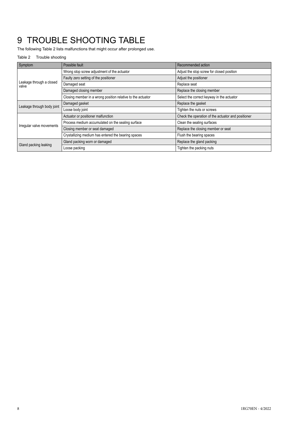## <span id="page-7-0"></span>9 TROUBLE SHOOTING TABLE

The following Table 2 lists malfunctions that might occur after prolonged use.

#### Table 2 Trouble shooting

| Symptom                           | Possible fault                                              | Recommended action                                 |  |  |  |
|-----------------------------------|-------------------------------------------------------------|----------------------------------------------------|--|--|--|
|                                   | Wrong stop screw adjustment of the actuator                 | Adjust the stop screw for closed position          |  |  |  |
|                                   | Faulty zero setting of the positioner                       | Adjust the positioner                              |  |  |  |
| Leakage through a closed<br>valve | Damaged seat                                                | Replace seat                                       |  |  |  |
|                                   | Damaged closing member                                      | Replace the closing member                         |  |  |  |
|                                   | Closing member in a wrong position relative to the actuator | Select the correct keyway in the actuator          |  |  |  |
| Leakage through body joint        | Damaged gasket                                              | Replace the gasket                                 |  |  |  |
|                                   | Loose body joint                                            | Tighten the nuts or screws                         |  |  |  |
|                                   | Actuator or positioner malfunction                          | Check the operation of the actuator and positioner |  |  |  |
| Irregular valve movements         | Process medium accumulated on the sealing surface           | Clean the sealing surfaces                         |  |  |  |
|                                   | Closing member or seat damaged                              | Replace the closing member or seat                 |  |  |  |
|                                   | Crystallizing medium has entered the bearing spaces         | Flush the bearing spaces                           |  |  |  |
| Gland packing leaking             | Gland packing worn or damaged                               | Replace the gland packing                          |  |  |  |
|                                   | Loose packing                                               | Tighten the packing nuts                           |  |  |  |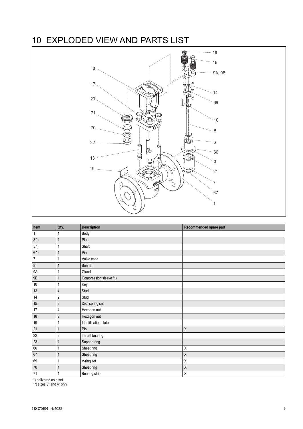## <span id="page-8-0"></span>10 EXPLODED VIEW AND PARTS LIST



| Item                      | Qty.           | <b>Description</b>     | Recommended spare part |
|---------------------------|----------------|------------------------|------------------------|
| 1                         |                | Body                   |                        |
| $3*)$                     | 1              | Plug                   |                        |
| $5*)$                     | 1              | Shaft                  |                        |
| $6*)$                     | 1              | Pin                    |                        |
| $\overline{\mathfrak{c}}$ |                | Valve cage             |                        |
| $\bf 8$                   | 1              | Bonnet                 |                        |
| <b>9A</b>                 | 1              | Gland                  |                        |
| 9B                        | 1              | Compression sleeve **) |                        |
| $10$                      | 1              | Key                    |                        |
| 13                        | 4              | Stud                   |                        |
| 14                        | $\overline{2}$ | Stud                   |                        |
| 15                        | $\sqrt{2}$     | Disc spring set        |                        |
| 17                        | 4              | Hexagon nut            |                        |
| 18                        | $\overline{2}$ | Hexagon nut            |                        |
| 19                        | 1              | Identification plate   |                        |
| 21                        | 1              | Pin                    | Χ                      |
| 22                        | $\overline{2}$ | Thrust bearing         |                        |
| 23                        | 1              | Support ring           |                        |
| 66                        |                | Sheet ring             | Χ                      |
| 67                        | $\mathbf{1}$   | Sheet ring             | Χ                      |
| 69                        |                | V-ring set             | Χ                      |
| $70$                      | $\mathbf{1}$   | Sheet ring             | Χ                      |
| 71                        | 1              | Bearing strip          | Χ                      |

\*) delivered as a set \*\*) sizes 3" and 4" only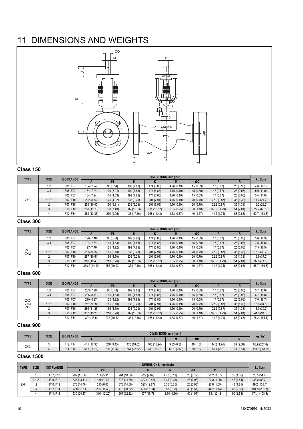## <span id="page-9-0"></span>11 DIMENSIONS AND WEIGHTS



#### **Class 150**

| <b>TYPE</b> | <b>SIZE</b> | <b>ISO FLANGE</b> | DIMENSIONS, mm (inch) |            |             |             |            |           |              |           |              |
|-------------|-------------|-------------------|-----------------------|------------|-------------|-------------|------------|-----------|--------------|-----------|--------------|
|             |             |                   | $\mathbf{r}$          | ØB         |             |             |            | ØO        |              |           | kg (lbs)     |
|             | 1/2         | F05, F07          | 184 (7.24)            | 90(3.54)   | 199 (7.83)  | 174 (6.85)  | 4.76(0.19) | 15 (0.59) | 17(0.67)     | 25 (0.98) | 4.6(10.1)    |
|             | 3/4         | F05, F07          | 184 (7.24)            | 100 (3.94) | 199 (7.83)  | 174 (6.85)  | 4.76(0.19) | 15(0.59)  | 17(0.67)     | 25 (0.98) | 5.0(11.0)    |
|             |             | F05, F07          | 184 (7.24)            | 110 (4.33) | 199 (7.83)  | 174 (6.85)  | 4.76(0.19) | 15 (0.59) | 17 (0.67)    | 25 (0.98) | 5.4(11.9)    |
| ZXC         | 11/2        | F07. F10          | 222 (8.74)            | 125 (4.92) | 236 (9.29)  | 201 (7.91)  | 4.76(0.19) | 20(0.79)  | 22.2 (0.87)  | 35(1.38)  | 11.2 (24.7)  |
|             |             | F07. F10          | 254 (10.00)           | 150 (5.91) | 236 (9.29)  | 201 (7.91)  | 4.76(0.19) | 20 (0.79) | 22.2 (0.87)  | 35 (1.38) | 13.2 (29.2)  |
|             |             | F10, F12          | 298 (11.73)           | 190 (7.48) | 382 (15.03) | 331 (13.02) | 6.35(0.25) | 30(1.18)  | 32.85 (1.29) | 51(2.01)  | 27.7(60.8)   |
|             |             | F12. F14          | 352 (13.85)           | 230 (9.05) | 436 (17.16) | 368 (14.48) | 9.53(0.37) | 40 (1.57) | 44.2 (1.74)  | 68 (2.68) | 60.7 (133.3) |

#### **Class 300**

| <b>TYPE</b>       | <b>SIZE</b> | <b>ISO FLANGE</b> | DIMENSIONS, mm (inch) |             |             |             |             |           |              |           |              |
|-------------------|-------------|-------------------|-----------------------|-------------|-------------|-------------|-------------|-----------|--------------|-----------|--------------|
|                   |             |                   |                       | ØB          |             | N           |             | ØO        |              | ĸ         | kg (lbs)     |
|                   | 1/2         | F05, F07          | 190 (7.48)            | 95 (3.74)   | 199 (7.83)  | 174 (6.85)  | 4.76 (0.19) | 15 (0.59) | 17 (0.67)    | 25 (0.98) | 5.6(12.3)    |
|                   | 3/4         | F05, F07          | 194 (7.64)            | 115 (4.53)  | 199 (7.83)  | 174 (6.85)  | 4.76 (0.19) | 15 (0.59) | 17 (0.67)    | 25 (0.98) | 7.5(16.5)    |
|                   |             | F05, F07          | 197 (7.76)            | 125 (4.92)  | 199 (7.83)  | 174 (6.85)  | 4.76 (0.19) | 15(0.59)  | 17 (0.67)    | 25 (0.98) | 7.5 (16.5)   |
| ZXD<br><b>ZXM</b> | 1/2         | F07. F10          | 235 (9.25)            | 155 (6.10)  | 236 (9.29)  | 201 (7.91)  | 4.76(0.19)  | 20 (0.79) | 22.2 (0.87)  | 35(1.38)  | 15.3(33.7)   |
|                   |             | F07. F10          | 267 (10.51)           | 165 (6.50)  | 236 (9.29)  | 201 (7.91)  | 4.76 (0.19) | 20 (0.79) | 22.2 (0.87)  | 35(1.38)  | 16.9 (37.2)  |
|                   |             | F10. F12          | 316 (12.43)           | 210 (8.26)  | 382 (15.03) | 331 (13.02) | 6.35(0.25)  | 30(1.18)  | 32.85 (1.29) | 51(2.01)  | 32.6 (71.6)  |
|                   |             | F12. F14          | 368.2 (14.49)         | 255 (10.03) | 436 (17.16) | 368 (14.48) | 9.53(0.37)  | 40 (1.57) | 44.2 (1.74)  | 68 (2.68) | 68.7 (150.8) |

#### **Class 600**

| <b>TYPE</b> | <b>SIZE</b> | <b>ISO FLANGE</b> | DIMENSIONS, mm (inch) |             |             |             |             |           |              |           |              |
|-------------|-------------|-------------------|-----------------------|-------------|-------------|-------------|-------------|-----------|--------------|-----------|--------------|
|             |             |                   | m                     | ØB          |             | N           |             | ØO        |              | R         | kg (lbs)     |
|             | 1/2         | F05, F07          | 203 (7.99)            | 95 (3.74)   | 199 (7.83)  | 174 (6.85)  | 4.76 (0.19) | 15 (0.59) | 17 (0.67)    | 25 (0.98) | 5.7(12.6)    |
|             | 3/4         | F05, F07          | 206 (8.11)            | 115 (4.53)  | 199 (7.83)  | 174 (6.85)  | 4.76(0.19)  | 15 (0.59) | 17 (0.67)    | 25 (0.98) | 6.7(14.8)    |
| ZXD         |             | F05, F07          | 210 (8.27)            | 125 (4.92)  | 199 (7.83)  | 174 (6.85)  | 4.76(0.19)  | 15 (0.59) | 17 (0.67)    | 25 (0.98) | 7.6(16.7)    |
| ZXM         | 11/2        | F07. F10          | 251 (9.88)            | 155 (6.10)  | 236 (9.29)  | 201 (7.91)  | 4.76(0.19)  | 20 (0.79) | 22.2 (0.87)  | 35 (1.38) | 15.8 (34.8)  |
| <b>ZXP</b>  |             | F07, F10          | 286 (11.26)           | 165 (6.50)  | 236 (9.29)  | 201 (7.91)  | 4.76 (0.19) | 20 (0.79) | 22.2(0.87)   | 35 (1.38) | 18.0 (39.7)  |
|             |             | F10. F12          | 337 (13.26)           | 210 (8.26)  | 382 (15.03) | 331 (13.02) | 6.35(0.25)  | 30(1.18)  | 32.85 (1.29) | 51(2.01)  | 41.6 (91.3)  |
|             |             | F12. F14          | 394 (15.5)            | 275 (10.82) | 436 (17.16) | 368 (14.48) | 9.53(0.37)  | 40 (1.57) | 44.2 (1.74)  | 68 (2.68) | 75.2 (165.1) |

#### **Class 900**

| <b>TYPE</b> | <b>SIZE</b> |          | <b>ISO FLANGE</b> | DIMENSIONS, mm (inch) |             |             |              |           |             |           |               |  |
|-------------|-------------|----------|-------------------|-----------------------|-------------|-------------|--------------|-----------|-------------|-----------|---------------|--|
|             |             |          |                   | ØB                    |             |             |              | ØO        |             |           | kg (lbs)      |  |
| <b>ZXG</b>  |             | F12, F14 | 441 (17.36)       | 240 (9.45)            | 473 (18.62) | 405 (15.94) | 9.53(0.38)   | 40 (1.57) | 44.2 (1.74) | 68 (2.68) | 93.9 (207.0)  |  |
|             |             | F14, F16 | 511 (20.12)       | 290 (11.42)           | 567 (22.32) | 477 (18.78) | 12.70 (0.50) | 50 (1.97) | 55.4 (2.18) | 90(3.54)  | 159.6 (351.9) |  |

| <b>TYPE</b> | <b>SIZE</b> | <b>ISO FLANGE</b> | DIMENSIONS, mm (inch) |             |             |             |              |           |             |           |               |  |  |
|-------------|-------------|-------------------|-----------------------|-------------|-------------|-------------|--------------|-----------|-------------|-----------|---------------|--|--|
|             |             |                   | $\mathbf{r}$          | ØB          |             |             |              | ØO        |             |           | kg (lbs)      |  |  |
|             |             | F07. F10          | 292 (11.50)           | 150 (5.91)  | 264 (10.39) | 229 (9.02)  | 4.76 (0.19)  | 20 (0.79) | 22.2 (0.87) | 35(1.38)  | 23.5(51.8)    |  |  |
|             | 1/2         | F10. F12          | 333 (13.11)           | 180 (7.09)  | 373 (14.69) | 327 (12.87) | 6.35(0.25)   | 25 (0.98) | 27.8 (1.09) | 46 (1.81) | 38.0 (83.7)   |  |  |
| ZXH         |             | F10. F12          | 375 (14.76)           | 215 (8.46)  | 373 (14.69) | 327 (12.87) | 6.35(0.25)   | 25 (0.98) | 27.8 (1.09) | 46 (1.81) | 49.2 (108.4)  |  |  |
|             |             | F12, F14          | 460 (18.11)           | 265 (10.43) | 473 (18.62) | 405 (15.94) | 9.53(0.38)   | 40 (1.57) | 44.2 (1.74) | 68 (2.68) | 104.9 (231.3) |  |  |
|             |             | F14, F16          | 530 (20.87)           | 310 (12.20) | 567 (22.32) | 477 (18.78) | 12.70 (0.50) | 50 (1.97) | 55.4 (2.18) | 90(3.54)  | 174.1 (108.5) |  |  |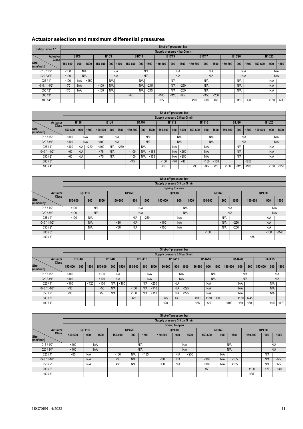#### **Actuator selection and maximum differential pressures**

| Safety factor 1.1                              |         |             |       |         |             |      |         |              |       | Shut-off pressure, bar     |              |       |         |              |       |         |              |      |         |              |       |
|------------------------------------------------|---------|-------------|-------|---------|-------------|------|---------|--------------|-------|----------------------------|--------------|-------|---------|--------------|-------|---------|--------------|------|---------|--------------|-------|
|                                                |         |             |       |         |             |      |         |              |       | Supply pressure 4 barG min |              |       |         |              |       |         |              |      |         |              |       |
| <b>Actuator</b>                                |         | <b>B1C6</b> |       |         | <b>B1C9</b> |      |         | <b>B1C11</b> |       |                            | <b>B1C13</b> |       |         | <b>B1C17</b> |       |         | <b>B1C20</b> |      |         | <b>B1C25</b> |       |
| Class <sup>1</sup><br><b>Size</b><br>(mm/inch) | 150-600 | 900         | 1500  | 150-600 | 900         | 1500 | 150-600 | 900          | 1500  | 150-600                    | 900          | 1500  | 150-600 | 900          | 1500  | 150-600 | 900          | 1500 | 150-600 | 900          | 1500  |
| 015/1/2"                                       | 100     |             | N/A   |         |             | N/A  |         |              | N/A   |                            |              | N/A   |         |              | N/A   |         | N/A          |      |         | N/A          |       |
| 020 / 3/4"                                     | 100     |             | N/A   |         |             | N/A  |         |              | N/A   |                            |              | N/A   |         | N/A          |       |         | N/A          |      |         | N/A          |       |
| 025/1"                                         | 100     | N/A         | < 250 |         | N/A         |      |         | N/A          |       |                            | N/A          |       |         | N/A          |       |         | N/A          |      |         | N/A          |       |
| 040 / 1-1/2"                                   | <70     | N/A         |       | < 100   | N/A         |      |         | N/A          | < 245 |                            | N/A          | < 250 |         | N/A          |       |         | N/A          |      |         | N/A          |       |
| 050/2"                                         | <70     | N/A         |       | 100     | N/A         |      |         | N/A          | < 245 |                            | N/A          | < 250 |         | N/A          |       |         | N/A          |      |         | N/A          |       |
| 080/3"                                         |         |             |       |         |             |      | <85     |              |       | 100                        | < 125        | < 95  |         | < 150        | < 250 |         |              |      |         |              |       |
| 100/4"                                         |         |             |       |         |             |      |         |              |       | < 65                       |              |       | 100     | < 80         | <60   |         | 110          | < 90 |         | < 150        | < 230 |

|                                          |         |             |       |         |             |       |         |              |       | Shut-off pressure, bar       |              |        |         |              |       |         |              |       |         |              |       |
|------------------------------------------|---------|-------------|-------|---------|-------------|-------|---------|--------------|-------|------------------------------|--------------|--------|---------|--------------|-------|---------|--------------|-------|---------|--------------|-------|
|                                          |         |             |       |         |             |       |         |              |       | Supply pressure 3.5 barG min |              |        |         |              |       |         |              |       |         |              |       |
| Actuator                                 |         | <b>B1J6</b> |       |         | <b>B1J8</b> |       |         | <b>B1J10</b> |       |                              | <b>B1J12</b> |        |         | <b>B1J16</b> |       |         | <b>B1J20</b> |       |         | <b>B1J25</b> |       |
| <b>Class</b><br><b>Size</b><br>(mm/inch) | 150-600 | 900         | 1500  | 150-600 | 900         | 1500  | 150-600 | 900          | 1500  | 150-600                      | 900          | 1500   | 150-600 | 900          | 1500  | 150-600 | 900          | 1500  | 150-600 | 900          | 1500  |
| 015/1/2"                                 | 100     |             | N/A   | < 100   |             | N/A   |         |              | N/A   |                              |              | N/A    |         |              | N/A   |         |              | N/A   |         |              | N/A   |
| 020 / 3/4"                               | 100     |             | N/A   | 100     |             | N/A   |         |              | N/A   |                              |              | N/A    |         |              | N/A   |         |              | N/A   |         |              | N/A   |
| 025/1"                                   | 100     | N/A         | < 220 | 100     | N/A         | < 250 |         | N/A          |       |                              | N/A          |        |         | N/A          |       |         | N/A          |       |         | N/A          |       |
| 040 / 1-1/2"                             | <60     | N/A         |       | < 75    | N/A         |       | 100     | N/A          | < 155 |                              | N/A          | < 250  |         | N/A          |       |         | N/A          |       |         | N/A          |       |
| 050/2"                                   | <60     | N/A         |       | < 75    | N/A         |       | 100     | N/A          | < 155 |                              | N/A          | < 250  |         | N/A          |       |         | N/A          |       |         | N/A          |       |
| 080/3"                                   |         |             |       |         |             |       | <45     |              |       | 100                          | < 70         | $<$ 40 |         | < 150        | < 150 |         |              | < 250 |         |              |       |
| 100/4"                                   |         |             |       |         |             |       |         |              |       | $35$                         |              |        | < 90    | <45          | < 25  | 100     | < 120        | 100   |         | < 150        | < 250 |

|                                           |         |       |      |         |       |       | Shut-off pressure, bar       |                 |      |         |       |       |         |       |       |
|-------------------------------------------|---------|-------|------|---------|-------|-------|------------------------------|-----------------|------|---------|-------|-------|---------|-------|-------|
|                                           |         |       |      |         |       |       | Supply pressure 3.5 barG min |                 |      |         |       |       |         |       |       |
|                                           |         |       |      |         |       |       |                              | Spring to close |      |         |       |       |         |       |       |
| <b>Actuator</b>                           |         | QPX1C |      |         | QPX2C |       |                              | QPX3C           |      |         | QPX4C |       |         | QPX5C |       |
| <b>Class</b><br><b>Size</b><br>(mm/inch)" | 150-600 | 900   | 1500 | 150-600 | 900   | 1500  | 150-600                      | 900             | 1500 | 150-600 | 900   | 1500  | 150-600 | 900   | 1500  |
| 015/1/2"                                  | 100     |       | N/A  |         |       | N/A   |                              |                 | N/A  |         |       | N/A   |         |       | N/A   |
| 020 / 3/4"                                | 100     |       | N/A  |         |       | N/A   |                              |                 | N/A  |         |       | N/A   |         |       | N/A   |
| 025/1"                                    | 100     | N/A   |      |         | N/A   | < 250 |                              | N/A             |      |         | N/A   |       |         | N/A   |       |
| 040 / 1-1/2"                              |         | N/A   |      | <80     | N/A   |       | 100                          | N/A             |      |         | N/A   | < 250 |         | N/A   |       |
| 050/2"                                    |         | N/A   |      | <80     | N/A   |       | 100                          | N/A             |      |         | N/A   | < 250 |         | N/A   |       |
| 080/3"                                    |         |       |      |         |       |       |                              |                 |      | 100     |       |       |         | < 150 | < 145 |
| 100/4"                                    |         |       |      |         |       |       |                              |                 |      |         |       |       | < 85    |       |       |

|                                          |         |              |       |         |                                |       |         |               |       | Shut-off pressure, bar       |               |       |         |               |      |         |               |       |         |               |       |
|------------------------------------------|---------|--------------|-------|---------|--------------------------------|-------|---------|---------------|-------|------------------------------|---------------|-------|---------|---------------|------|---------|---------------|-------|---------|---------------|-------|
|                                          |         |              |       |         |                                |       |         |               |       | Supply pressure 3.5 barG min |               |       |         |               |      |         |               |       |         |               |       |
| Actuator                                 |         | <b>B1JA6</b> |       |         | B <sub>1</sub> JA <sub>8</sub> |       |         | <b>B1JA10</b> |       |                              | <b>B1JA12</b> |       |         | <b>B1JA16</b> |      |         | <b>B1JA20</b> |       |         | <b>B1JA25</b> |       |
| <b>Class</b><br><b>Size</b><br>(mm/inch) | 150-600 | 900          | 1500  | 150-600 | 900                            | 1500  | 150-600 | 900           | 1500  | 150-600                      | 900           | 1500  | 150-600 | 900           | 1500 | 150-600 | 900           | 1500  | 150-600 | 900           | 1500  |
| 015/1/2"                                 | 100     |              |       | 100     | N/A                            |       |         |               | N/A   |                              |               | N/A   |         |               | N/A  |         |               | N/A   |         |               | N/A   |
| 020 / 3/4"                               | 100     |              |       | 100     |                                | N/A   |         |               | N/A   |                              |               | N/A   |         |               | N/A  |         |               | N/A   |         |               | N/A   |
| 025/1"                                   | 100     |              | < 120 | 100     | N/A                            | < 180 |         | N/A           | $250$ |                              | N/A           |       |         | N/A           |      |         | N/A           |       |         | N/A           |       |
| 040 / 1-1/2"                             | <30     |              |       | < 50    | N/A                            |       | < 100   | N/A           | < 110 |                              | N/A           | < 225 |         | N/A           |      |         | N/A           |       |         | N/A           |       |
| 050/2"                                   | <30     |              |       | < 50    | N/A                            |       | < 100   | N/A           | 110   |                              | N/A           | < 225 |         | N/A           |      |         | N/A           |       |         | N/A           |       |
| 080/3"                                   |         |              |       |         |                                |       | < 25    |               |       | < 75                         | < 30          |       | 100     | 110           | ~80  |         | < 150         | < 245 |         |               |       |
| 100/4"                                   |         |              |       |         |                                |       |         |               |       | $20$                         |               |       | < 55    | $20$          |      | < 100   | < 80          | <60   |         | < 150         | < 170 |

|                             |         |       |      |         |       |       | Shut-off pressure, bar       |                |       |         |       |       |         |       |       |
|-----------------------------|---------|-------|------|---------|-------|-------|------------------------------|----------------|-------|---------|-------|-------|---------|-------|-------|
|                             |         |       |      |         |       |       | Supply pressure 3.5 barG min |                |       |         |       |       |         |       |       |
|                             |         |       |      |         |       |       |                              | Spring to open |       |         |       |       |         |       |       |
| Actuator                    |         | QPX1C |      |         | QPX2C |       |                              | QPX3C          |       |         | QPX4C |       |         | QPX5C |       |
| <b>Class</b><br><b>Size</b> | 150-600 | 900   | 1500 | 150-600 | 900   | 1500  | 150-600                      | 900            | 1500  | 150-600 | 900   | 1500  | 150-600 | 900   | 1500  |
| (mm/inch)                   |         |       |      |         |       |       |                              |                |       |         |       |       |         |       |       |
| 015/1/2"                    | 100     |       | N/A  |         |       | N/A   |                              |                | N/A   |         |       | N/A   |         |       | N/A   |
| 020 / 3/4"                  | 100     |       | N/A  |         |       | N/A   |                              |                | N/A   |         |       | N/A   |         |       | N/A   |
| 025/1"                      | < 65    | N/A   |      | < 100   | N/A   | < 135 |                              | N/A            | < 250 |         | N/A   |       |         | N/A   |       |
| 040 / 1-1/2"                |         | N/A   |      | $35$    | N/A   |       | <80                          | N/A            |       | 100     | N/A   | < 165 |         | N/A   | $250$ |
| 050/2"                      |         | N/A   |      | $35$    | N/A   |       | < 80                         | N/A            |       | 100     | N/A   | < 165 |         | N/A   | < 250 |
| 080/3"                      |         |       |      |         |       |       |                              |                |       | < 50    |       |       | < 100   | < 70  | <40   |
| 100/4"                      |         |       |      |         |       |       |                              |                |       |         |       |       | $35$    |       |       |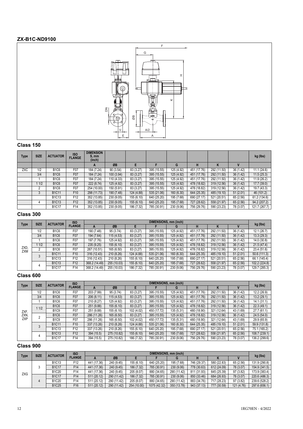#### **ZX-B1C-ND9100**



#### **Class 150**

| Type       | <b>SIZE</b> | <b>ACTUATOR</b> | <b>ISO</b><br><b>FLANGE</b> | <b>DIMENSION</b><br>S, mm<br>(inch) |            |            |             |            |             |             |           | kg (lbs)      |
|------------|-------------|-----------------|-----------------------------|-------------------------------------|------------|------------|-------------|------------|-------------|-------------|-----------|---------------|
|            |             |                 |                             | A                                   | ØB         |            |             | G          |             | K           |           |               |
| <b>ZXC</b> | 1/2         | <b>B1C6</b>     | F07                         | 184 (7.24)                          | 90(3.54)   | 83 (3.27)  | 395 (15.55) | 125 (4.92) | 451 (17.76) | 292 (11.50) | 36 (1.42) | 11.1(24.6)    |
|            | 3/4         | <b>B1C6</b>     | F07                         | 184 (7.24)                          | 100 (3.94) | 83 (3.27)  | 395 (15.55) | 125 (4.92) | 451 (17.76) | 292 (11.50) | 36(1.42)  | 11.5(25.3)    |
|            |             | <b>B1C6</b>     | F07                         | 184 (7.24)                          | 110 (4.33) | 83 (3.27)  | 395 (15.55) | 125 (4.92) | 451 (17.76) | 292 (11.50) | 36(1.42)  | 11.9(26.2)    |
|            | 11/2        | <b>B1C6</b>     | F07                         | 222 (8.74)                          | 125 (4.92) | 83 (3.27)  | 395 (15.55) | 125 (4.92) | 478 (18.82) | 319 (12.56) | 36(1.42)  | 17.7 (39.0)   |
|            | 2           | <b>B1C6</b>     | F07                         | 254 (10.00)                         | 150 (5.91) | 83 (3.27)  | 395 (15.55) | 125 (4.92) | 478 (18.82) | 319 (12.56) | 36 (1.42) | 19.7 (43.3)   |
|            | 3           | <b>B1C11</b>    | F <sub>10</sub>             | 298 (11.73)                         | 190 (7.48) | 124 (4.88) | 535 (21.06) | 160 (6.30) | 644 (25.35) | 485 (19.10) | 51(2.01)  | 46 (101.2)    |
|            |             | <b>B1C13</b>    | F <sub>12</sub>             | 352 (13.85)                         | 230 (9.05) | 155 (6.10) | 640 (25.20) | 195 (7.68) | 690 (27.17) | 521 (20.51) | 65 (2.56) | 61.2 (134.6)  |
|            | 4           | <b>B1C13</b>    | F <sub>12</sub>             | 352 (13.85)                         | 230 (9.05) | 155 (6.10) | 640 (25.20) | 195 (7.68) | 727 (28.62) | 558 (21.97) | 65(2.56)  | 94.2 (207.2)  |
|            |             | <b>B1C17</b>    | F14                         | 352 (13.85)                         | 230 (9.05) | 186 (7.32) | 785 (30.91) | 230 (9.06) | 756 (29.76) | 590 (23.23) | 78 (3.07) | 121.7 (267.7) |

#### **Class 300**

|             | <b>SIZE</b> | <b>ACTUATOR</b> | <b>ISO</b>      |               |             |            | DIMENSIONS, mm (inch) |            |             |             |           |               |
|-------------|-------------|-----------------|-----------------|---------------|-------------|------------|-----------------------|------------|-------------|-------------|-----------|---------------|
| Type        |             |                 | <b>FLANGE</b>   | $\mathbf{A}$  | ØB          |            |                       | G          | н           |             |           | kg (lbs)      |
|             | 1/2         | <b>B1C6</b>     | F07             | 190 (7.48)    | 95 (3.74)   | 83 (3.27)  | 395 (15.55)           | 125 (4.92) | 451 (17.76) | 292 (11.50) | 36 (1.42) | 12.1(26.7)    |
|             | 3/4         | <b>B1C6</b>     | F07             | 194 (7.64)    | 115(4.53)   | 83 (3.27)  | 395 (15.55)           | 125 (4.92) | 451 (17.76) | 292 (11.50) | 36(1.42)  | 13.3(29.3)    |
|             |             | <b>B1C6</b>     | F07             | 197 (7.76)    | 125 (4.92)  | 83 (3.27)  | 395 (15.55)           | 125 (4.92) | 451 (17.76) | 292 (11.50) | 36 (1.42) | 14.0 (30.8)   |
|             | 1/2         | <b>B1C6</b>     | F07             | 235 (9.25)    | 155 (6.10)  | 83 (3.27)  | 395 (15.55)           | 125 (4.92) | 478 (18.82) | 319 (12.56) | 36(1.42)  | 21.5(47.4)    |
| ZXD,<br>ZXM |             | <b>B1C6</b>     | F07             | 267 (10.51)   | 165 (6.50)  | 83 (3.27)  | 395 (15.55)           | 125 (4.92) | 478 (18.82) | 319 (12.56) | 36 (1.42) | 23.4 (51.6)   |
|             |             | <b>B1C11</b>    | F <sub>10</sub> | 316 (12.43)   | 210 (8.26)  | 124 (4.88) | 535 (21.06)           | 160 (6.30) | 644 (25.35) | 485 (19.10) | 51(2.01)  | 50.6(111.3)   |
|             |             | <b>B1C13</b>    | F12             | 316 (12.43)   | 210 (8.26)  | 155 (6.10) | 640 (25.20)           | 195 (7.68) | 690 (27.17) | 521 (20.51) | 65 (2.56) | 66.1 (145.4)  |
|             |             | <b>B1C13</b>    | F12             | 368.2 (14.49) | 255 (10.03) | 155(6.10)  | 640 (25.20)           | 195 (7.68) | 727 (28.62) | 558 (21.97) | 65 (2.56) | 102.2 (224.8) |
|             |             | <b>B1C17</b>    | F <sub>14</sub> | 368.2 (14.49) | 255 (10.03) | 186 (7.32) | 785 (30.91)           | 230 (9.06) | 756 (29.76) | 590 (23.23) | 78 (3.07) | 129.7 (285.3) |

#### **Class 600**

|      | <b>SIZE</b> | <b>ACTUATOR</b>               | <b>ISO</b>       |             |             |            |             | DIMENSIONS, mm (inch) |             |             |           |               |
|------|-------------|-------------------------------|------------------|-------------|-------------|------------|-------------|-----------------------|-------------|-------------|-----------|---------------|
| Type |             |                               | <b>FLANGE</b>    | A           | ØB          |            |             | G                     |             |             |           | kg (lbs)      |
|      | 1/2         | <b>B1C6</b>                   | F07              | 203 (7.99)  | 95 (3.74)   | 83 (3.27)  | 395 (15.55) | 125 (4.92)            | 451 (17.76) | 292 (11.50) | 36 (1.42) | 12.2 (26.9)   |
|      | 3/4         | <b>B1C6</b>                   | F07              | 206(8.11)   | 115(4.53)   | 83 (3.27)  | 395 (15.55) | 125 (4.92)            | 451 (17.76) | 292 (11.50) | 36(1.42)  | 13.2 (29.1)   |
|      |             | <b>B1C6</b>                   | F07              | 210 (8.27)  | 125 (4.92)  | 83 (3.27)  | 395 (15.55) | 125 (4.92)            | 451 (17.76) | 292 (11.50) | 36 (1.42) | 14.1 (31.1)   |
|      | 1/2         | <b>B1C6</b>                   | F07              | 251 (9.88)  | 155(6.10)   | 83 (3.27)  | 395 (15.55) | 125 (4.92)            | 478 (18.82) | 319 (12.56) | 36(1.42)  | 22.3(49.1)    |
| ZXF  |             | B <sub>1</sub> C <sub>9</sub> | F07              | 251 (9.88)  | 155 (6.10)  | 102 (4.02) | 450 (17.72) | 135 (5.31)            | 480 (18.90) | 321 (12.64) | 43 (1.69) | 27.7(61.1)    |
| ZXN, | n           | <b>B1C6</b>                   | F <sub>0</sub> 7 | 286 (11.26) | 165 (6.50)  | 83 (3.27)  | 395 (15.55) | 125 (4.92)            | 478 (18.82) | 319 (12.56) | 36(1.42)  | 24.5(54.0)    |
| ZXP  |             | B <sub>1C9</sub>              | F07              | 286 (11.26) | 165 (6.50)  | 102 (4.02) | 450 (17.72) | 135 (5.31)            | 480 (18.90) | 321 (12.64) | 43 (1.69) | 29.9 (65.9)   |
|      | €           | <b>B1C11</b>                  | F <sub>10</sub>  | 337 (13.26) | 210 (8.26)  | 124 (4.88) | 535 (21.06) | 160 (6.30)            | 644 (25.35) | 485 (19.10) | 51(2.01)  | 59.9 (131.8)  |
|      |             | <b>B1C13</b>                  | F <sub>12</sub>  | 337 (13.26) | 210 (8.26)  | 155 (6.10) | 640 (25.20) | 195 (7.68)            | 690 (27.17) | 521 (20.51) | 65 (2.56) | 75.1 (165.2)  |
|      |             | <b>B1C13</b>                  | F <sub>12</sub>  | 394 (15.5)  | 275 (10.82) | 155 (6.10) | 640 (25.20) | 195 (7.68)            | 727 (28.62) | 558 (21.97) | 65 (2.56) | 108.7 (239.1) |
|      |             | <b>B1C17</b>                  | F14              | 394 (15.5)  | 275 (10.82) | 186 (7.32) | 785 (30.91) | 230 (9.06)            | 756 (29.76) | 590 (23.23) | 78 (3.07) | 136.2 (299.6) |

|      | <b>SIZE</b> | <b>ACTUATOR</b> | <b>ISO</b>    |             |             |             | DIMENSIONS, mm (inch) |             |             |             |            |               |
|------|-------------|-----------------|---------------|-------------|-------------|-------------|-----------------------|-------------|-------------|-------------|------------|---------------|
| Type |             |                 | <b>FLANGE</b> |             | ØB          |             |                       |             |             |             |            | kg (lbs)      |
|      |             | <b>B1C13</b>    | F12           | 441 (17.36) | 240 (9.45)  | 155 (6.10)  | 640 (25.20)           | 195 (7.68)  | 746 (29.37) | 580 (22.83) | 65 (2.56)  | 131.9 (290.8) |
|      |             | <b>B1C17</b>    | F14           | 441 (17.36) | 240 (9.45)  | 186 (7.32)  | 785 (30.91)           | 230 (9.06)  | 778 (30.63) | 612 (24.09) | 78 (3.07)  | 154.9 (341.5) |
| ZXG  |             | <b>B1C20</b>    | F14           | 441 (17.36) | 240 (9.45)  | 205 (8.07)  | 880 (34.65)           | 290 (11.42) | 811 (31.93) | 645 (25.39) | 97 (3.82)  | 173.9 (383.4) |
|      |             | <b>B1C17</b>    | F14           | 511(20.12)  | 290 (11.42) | 186 (7.32)  | 785 (30.91)           | 230 (9.06)  | 850 (33.46) | 684 (26.93) | 78 (3.07)  | 220.6 (486.3) |
|      | 4           | <b>B1C20</b>    | F14           | 511 (20.12) | 290 (11.42) | 205 (8.07)  | 880 (34.65)           | 290 (11.42) | 883 (34.76) | 717 (28.23) | 97 (3.82)  | 239.6 (528.2) |
|      |             | <b>B1C25</b>    | F16           | 511 (20.12) | 290 (11.42) | 254 (10.00) | 1075 (42.32)          | 350 (13.78) | 943 (37.13) | 777 (30.59) | 121 (4.76) | 297.6 (656.1) |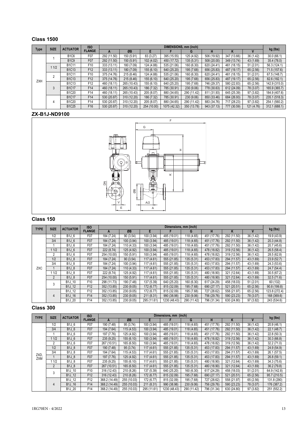#### **Class 1500**

|            | <b>SIZE</b> | <b>ACTUATOR</b>                | <b>ISO</b>      |             |             |             |              | DIMENSIONS, mm (inch) |             |             |            |               |
|------------|-------------|--------------------------------|-----------------|-------------|-------------|-------------|--------------|-----------------------|-------------|-------------|------------|---------------|
| Type       |             |                                | <b>FLANGE</b>   | A           | ØB          | Е           |              | G                     | н           |             |            | kg (lbs)      |
|            |             | <b>B1C6</b>                    | F07             | 292 (11.50) | 150 (5.91)  | 83 (3.27)   | 395 (15.55)  | 125 (4.92)            | 506 (19.92) | 347 (13.66) | 36 (1.42)  | 30.0(66.1)    |
|            |             | <b>B1C9</b>                    | F07             | 292 (11.50) | 150 (5.91)  | 102 (4.02)  | 450 (17.72)  | 135 (5.31)            | 508 (20.00) | 349 (13.74) | 43 (1.69)  | 35.4 (78.0)   |
|            | 1/2         | <b>B1C11</b>                   | F <sub>10</sub> | 333 (13.11) | 180 (7.09)  | 124 (4.88)  | 535 (21.06)  | 160 (6.30)            | 620 (24.41) | 461 (18.15) | 51(2.01)   | 56.3 (124.1)  |
|            |             | <b>B1C13</b>                   | F <sub>12</sub> | 333 (13.11) | 180 (7.09)  | 155(6.10)   | 640 (25.20)  | 195 (7.68)            | 656 (25.83) | 487 (19.17) | 65 (2.56)  | 71.5 (157.6)  |
|            | c           | <b>B1C11</b>                   | F10             | 375 (14.76) | 215 (8.46)  | 124 (4.88)  | 535 (21.06)  | 160 (6.30)            | 620 (24.41) | 461 (18.15) | 51 (2.01)  | 67.5 (148.7)  |
| <b>ZXH</b> |             | <b>B1C13</b>                   | F <sub>12</sub> | 375 (14.76) | 215 (8.46)  | 155(6.10)   | 640 (25.20)  | 195 (7.68)            | 656 (25.83) | 487 (19.17) | 65 (2.56)  | 82.6 (182.1)  |
|            |             | <b>B1C13</b>                   | F <sub>12</sub> | 460 (18.11) | 265 (10.43) | 155 (6.10)  | 640 (25.20)  | 195 (7.68)            | 746 (29.37) | 580 (22.83) | 65 (2.56)  | 142.9 (315.0) |
|            | 3           | <b>B1C17</b>                   | F14             | 460 (18.11) | 265 (10.43) | 186 (7.32)  | 785 (30.91)  | 230 (9.06)            | 778 (30.63) | 612 (24.09) | 78 (3.07)  | 165.9 (365.7) |
|            |             | B <sub>1</sub> C <sub>20</sub> | F14             | 460 (18.11) | 265 (10.43) | 205 (8.07)  | 880 (34.65)  | 290 (11.42)           | 811 (31.93) | 645 (25.39) | 97 (3.82)  | 184.9 (407.6) |
|            |             | <b>B1C17</b>                   | F14             | 530 (20.87) | 310 (12.20) | 186 (7.32)  | 785 (30.91)  | 230 (9.06)            | 850 (33.46) | 684 (26.93) | 78 (3.07)  | 235.1 (518.3) |
|            | 4           | <b>B1C20</b>                   | F14             | 530 (20.87) | 310 (12.20) | 205 (8.07)  | 880 (34.65)  | 290 (11.42)           | 883 (34.76) | 717 (28.23) | 97 (3.82)  | 254.1 (560.2) |
|            |             | <b>B1C25</b>                   | F <sub>16</sub> | 530 (20.87) | 310 (12.20) | 254 (10.00) | 1075 (42.32) | 350 (13.78)           | 943 (37.13) | 777 (30.59) | 121 (4.76) | 312.1 (688.1) |

#### **ZX-B1J-ND9100**



#### **Class 150**

| <b>TYPE</b> | <b>SIZE</b>    | <b>ACTUATOR</b> | <b>ISO</b>      |             |            |             | Dimensions, mm (inch) |             |             |             |           |               |
|-------------|----------------|-----------------|-----------------|-------------|------------|-------------|-----------------------|-------------|-------------|-------------|-----------|---------------|
|             |                |                 | <b>FLANGE</b>   | A           | ØB         | E.          |                       | G           | н           |             |           | kg (lbs)      |
|             | 1/2            | B1J 6           | F07             | 184 (7.24)  | 90(3.54)   | 100 (3.94)  | 485 (19.01)           | 118 (4.65)  | 451 (17.76) | 292 (11.50) | 36 (1.42) | 19.9 (43.9)   |
|             | 3/4            | B1J 6           | F07             | 184 (7.24)  | 100 (3.94) | 100 (3.94)  | 485 (19.01)           | 118 (4.65)  | 451 (17.76) | 292 (11.50) | 36(1.42)  | 20.3 (44.8)   |
|             |                | <b>B1J 6</b>    | F07             | 184 (7.24)  | 110(4.33)  | 100 (3.94)  | 485 (19.01)           | 118 (4.65)  | 451 (17.76) | 292 (11.50) | 36 (1.42) | 20.7 (45.6)   |
|             | 11/2           | <b>B1J 6</b>    | F07             | 222 (8.74)  | 125 (4.92) | 100 (3.94)  | 485 (19.01)           | 118 (4.65)  | 478 (18.82) | 319 (12.56) | 36 (1.42) | 26.5(58.4)    |
|             | 2              | <b>B1J 6</b>    | F07             | 254 (10.00) | 150 (5.91) | 100 (3.94)  | 485 (19.01)           | 118 (4.65)  | 478 (18.82) | 319 (12.56) | 36 (1.42) | 28.5 (62.8)   |
|             | 1/2            | <b>B1J 8</b>    | F07             | 184 (7.24)  | 90(3.54)   | 117(4.61)   | 555 (21.85)           | 135 (5.31)  | 453 (17.83) | 294 (11.57) | 43 (1.69) | 23.9(52.7)    |
|             | 3/4            | <b>B1J 8</b>    | F07             | 184 (7.24)  | 100 (3.94) | 117(4.61)   | 555 (21.85)           | 135 (5.31)  | 453 (17.83) | 294 (11.57) | 43 (1.69) | 24.3(53.6)    |
| <b>ZXC</b>  |                | <b>B1J 8</b>    | F07             | 184 (7.24)  | 110(4.33)  | 117(4.61)   | 555 (21.85)           | 135 (5.31)  | 453 (17.83) | 294 (11.57) | 43 (1.69) | 24.7(54.4)    |
|             | 1/2            | <b>B1J 8</b>    | F07             | 222 (8.74)  | 125 (4.92) | 117(4.61)   | 555 (21.85)           | 135 (5.31)  | 480 (18.90) | 321 (12.64) | 43 (1.69) | 30.5(67.2)    |
|             | $\overline{2}$ | <b>B1J 8</b>    | F07             | 254 (10.00) | 150 (5.91) | 117(4.61)   | 555 (21.85)           | 135 (5.31)  | 480 (18.90) | 321 (12.64) | 43 (1.69) | 32.5(71.6)    |
|             | 3              | B1J 10          | F <sub>10</sub> | 298 (11.73) | 190 (7.48) | 137 (5.39)  | 640 (25.20)           | 160 (6.30)  | 617 (24.29) | 458 (18.03) | 51(2.01)  | 60 (132)      |
|             |                | <b>B1J 12</b>   | F <sub>12</sub> | 352 (13.85) | 230 (9.05) | 172 (6.77)  | 815 (32.09)           | 195 (7.68)  | 690 (27.17) | 521 (20.51) | 65 (2.56) | 90.8 (199.8)  |
|             |                | <b>B1J 12</b>   | F <sub>12</sub> | 352 (13.85) | 230 (9.05) | 172 (6.77)  | 815 (32.09)           | 195 (7.68)  | 727 (28.62) | 558 (21.97) | 65 (2.56) | 123.8 (272.4) |
|             | 4              | <b>B1J 16</b>   | F14             | 352 (13.85) | 230(9.05)  | 211(8.31)   | 990 (38.98)           | 230 (9.06)  | 756 (29.76) | 590 (23.23) | 78 (3.07) | 168 (369.6)   |
|             |                | B1J 20          | F14             | 352 (13.85) | 230 (9.05) | 295 (11.61) | 1230 (48.43)          | 290 (11.42) | 796 (31.34) | 630 (24.80) | 97 (3.82) | 243 (534.6)   |

| <b>TYPE</b> | <b>SIZE</b>    | <b>ACTUATOR</b>     | <b>ISO</b>      |               |             |             | Dimensions, mm (inch) |             |             |             |           |              |
|-------------|----------------|---------------------|-----------------|---------------|-------------|-------------|-----------------------|-------------|-------------|-------------|-----------|--------------|
|             |                |                     | <b>FLANGE</b>   | A             | ØB          | F           |                       | G           | н           | ĸ           |           | kg (lbs)     |
|             | 1/2            | B1J 6               | F07             | 190 (7.48)    | 95 (3.74)   | 100 (3.94)  | 485 (19.01)           | 118 (4.65)  | 451 (17.76) | 292 (11.50) | 36 (1.42) | 20.9(46.1)   |
|             | 3/4            | <b>B1J 6</b>        | F07             | 194 (7.64)    | 115(4.53)   | 100 (3.94)  | 485 (19.01)           | 118 (4.65)  | 451 (17.76) | 292 (11.50) | 36 (1.42) | 22.1(48.7)   |
|             |                | <b>B1J 6</b>        | F07             | 197 (7.76)    | 125 (4.92)  | 100 (3.94)  | 485 (19.01)           | 118 (4.65)  | 451 (17.76) | 292 (11.50) | 36 (1.42) | 22.8 (50.3)  |
|             | 11/2           | <b>B1J 6</b>        | F07             | 235(9.25)     | 155(6.10)   | 100 (3.94)  | 485 (19.01)           | 118 (4.65)  | 478 (18.82) | 319 (12.56) | 36(1.42)  | 30.3(66.8)   |
|             | $\overline{2}$ | <b>B1J 6</b>        | F07             | 267 (10.51)   | 165 (6.50)  | 100 (3.94)  | 485 (19.01)           | 118 (4.65)  | 478 (18.82) | 319 (12.56) | 36(1.42)  | 32.2(71.0)   |
|             | 1/2            | <b>B1J 8</b>        | F07             | 190 (7.48)    | 95 (3.74)   | 117 (4.61)  | 555 (21.85)           | 135 (5.31)  | 453 (17.83) | 294 (11.57) | 43 (1.69) | 24.9(54.9)   |
|             | 3/4            | <b>B1J 8</b>        | F07             | 194 (7.64)    | 115(4.53)   | 117 (4.61)  | 555 (21.85)           | 135 (5.31)  | 453 (17.83) | 294 (11.57) | 43 (1.69) | 26.1 (57.5)  |
| ZXD,<br>ZXM |                | <b>B1J 8</b>        | F07             | 197 (7.76)    | 125 (4.92)  | 117(4.61)   | 555 (21.85)           | 135(5.31)   | 453 (17.83) | 294 (11.57) | 43 (1.69) | 26.8(59.1)   |
|             | 1/2            | <b>B1J 8</b>        | F07             | 235 (9.25)    | 155 (6.10)  | 117 (4.61)  | 555 (21.85)           | 135 (5.31)  | 480 (18.90) | 321 (12.64) | 43 (1.69) | 34.3(75.6)   |
|             | $\overline{2}$ | <b>B1J 8</b>        | F07             | 267 (10.51)   | 165 (6.50)  | 117(4.61)   | 555 (21.85)           | 135(5.31)   | 480 (18.90) | 321 (12.64) | 43 (1.69) | 36.2(79.8)   |
|             | 3              | B1J 10              | F <sub>10</sub> | 316 (12.43)   | 210 (8.26)  | 137 (5.39)  | 640 (25.20)           | 160 (6.30)  | 617 (24.29) | 458 (18.03) | 51(2.01)  | 64.9 (142.8) |
|             |                | B1J 12              | F <sub>12</sub> | 316 (12.43)   | 210 (8.26)  | 172 (6.77)  | 815 (32.09)           | 195 (7.68)  | 690 (27.17) | 521 (20.51) | 65 (2.56) | 95.7 (210.5) |
|             |                | B <sub>1</sub> J 12 | F <sub>12</sub> | 368.2 (14.49) | 255 (10.03) | 172 (6.77)  | 815 (32.09)           | 195 (7.68)  | 727 (28.62) | 558 (21.97) | 65 (2.56) | 131.8 (290)  |
|             | 4              | B1J 16              | F14             | 368.2 (14.49) | 255 (10.03) | 211(8.31)   | 990 (38.98)           | 230 (9.06)  | 756 (29.76) | 590 (23.23) | 78 (3.07) | 176 (387.2)  |
|             |                | B1J 20              | F14             | 368.2 (14.49) | 255 (10.03) | 295 (11.61) | 1230 (48.43)          | 290 (11.42) | 796 (31.34) | 630 (24.80) | 97 (3.82) | 251 (552.2)  |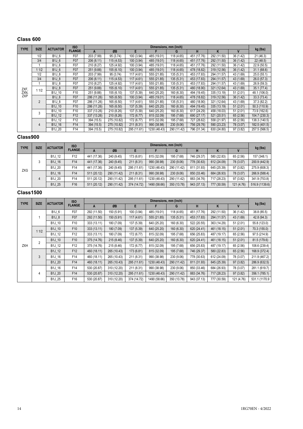#### **Class 600**

| <b>TYPE</b> | <b>SIZE</b>    | <b>ACTUATOR</b>                | <b>ISO</b>       |             |             |             | Dimensions, mm (inch) |             |             |             |             |               |
|-------------|----------------|--------------------------------|------------------|-------------|-------------|-------------|-----------------------|-------------|-------------|-------------|-------------|---------------|
|             |                |                                | <b>FLANGE</b>    | A           | ØB          | E.          |                       | G           | н           | Κ           | $\mathbf v$ | kg (lbs)      |
|             | 1/2            | <b>B1J 6</b>                   | F07              | 203 (7.99)  | 95 (3.74)   | 100 (3.94)  | 485 (19.01)           | 118 (4.65)  | 451 (17.76) | 292 (11.50) | 36 (1.42)   | 21(46.3)      |
|             | 3/4            | B1J 6                          | F07              | 206 (8.11)  | 115(4.53)   | 100 (3.94)  | 485 (19.01)           | 118 (4.65)  | 451 (17.76) | 292 (11.50) | 36 (1.42)   | 22 (48.5)     |
|             |                | B1J 6                          | F07              | 210 (8.27)  | 125 (4.92)  | 100 (3.94)  | 485 (19.01)           | 118 (4.65)  | 451 (17.76) | 292 (11.50) | 36 (1.42)   | 22.9 (50.5)   |
|             | 11/2           | B1J 6                          | F07              | 251 (9.88)  | 155(6.10)   | 100 (3.94)  | 485 (19.01)           | 118 (4.65)  | 478 (18.82) | 319 (12.56) | 36 (1.42)   | 31.1(68.6)    |
|             | 1/2            | <b>B1J 8</b>                   | F07              | 203 (7.99)  | 95 (3.74)   | 117 (4.61)  | 555 (21.85)           | 135 (5.31)  | 453 (17.83) | 294 (11.57) | 43 (1.69)   | 25.0(55.1)    |
|             | 3/4            | <b>B1J 8</b>                   | F07              | 206 (8.11)  | 115(4.53)   | 117 (4.61)  | 555 (21.85)           | 135 (5.31)  | 453 (17.83) | 294 (11.57) | 43 (1.69)   | 26.0 (57.3)   |
|             |                | <b>B1J 8</b>                   | F07              | 210 (8.27)  | 125 (4.92)  | 117 (4.61)  | 555 (21.85)           | 135 (5.31)  | 453 (17.83) | 294 (11.57) | 43 (1.69)   | 26.9(59.3)    |
| ZXF.        | 11/2           | <b>B1J 8</b>                   | F <sub>07</sub>  | 251 (9.88)  | 155(6.10)   | 117 (4.61)  | 555 (21.85)           | 135 (5.31)  | 480 (18.90) | 321 (12.64) | 43 (1.69)   | 35.1(77.4)    |
| ZXN.        |                | B1J 10                         | F <sub>10</sub>  | 251 (9.88)  | 155 (6.10)  | 137 (5.39)  | 640 (25.20)           | 160 (6.30)  | 494 (19.45) | 335 (13.19) | 51(2.01)    | 48.1 (106.0)  |
| <b>ZXP</b>  |                | B1J 6                          | F07              | 286 (11.26) | 165(6.50)   | 100 (3.94)  | 485 (19.01)           | 118 (4.65)  | 478 (18.82) | 319 (12.56) | 36(1.42)    | 33.3(73.4)    |
|             | $\overline{2}$ | <b>B1J 8</b>                   | F <sub>0</sub> 7 | 286 (11.26) | 165 (6.50)  | 117 (4.61)  | 555 (21.85)           | 135 (5.31)  | 480 (18.90) | 321 (12.64) | 43 (1.69)   | 37.3 (82.2)   |
|             |                | B1J 10                         | F <sub>10</sub>  | 286 (11.26) | 165(6.50)   | 137 (5.39)  | 640 (25.20)           | 160 (6.30)  | 494 (19.45) | 335 (13.19) | 51(2.01)    | 50.3 (110.9)  |
|             | 3              | B1J 10                         | F10              | 337 (13.26) | 210 (8.26)  | 137 (5.39)  | 640 (25.20)           | 160 (6.30)  | 617 (24.29) | 458 (18.03) | 51(2.01)    | 73.9 (162.6)  |
|             |                | <b>B1J 12</b>                  | F <sub>12</sub>  | 337 (13.26) | 210 (8.26)  | 172 (6.77)  | 815 (32.09)           | 195 (7.68)  | 690 (27.17) | 521 (20.51) | 65 (2.56)   | 104.7 (230.3) |
|             |                | B <sub>1</sub> J <sub>12</sub> | F <sub>12</sub>  | 394 (15.5)  | 275 (10.82) | 172 (6.77)  | 815 (32.09)           | 195 (7.68)  | 727 (28.62) | 558 (21.97) | 65 (2.56)   | 138.3 (140.5) |
|             | 4              | <b>B1J 16</b>                  | F <sub>14</sub>  | 394 (15.5)  | 275 (10.82) | 211 (8.31)  | 990 (38.98)           | 230 (9.06)  | 756 (29.76) | 590 (23.23) | 78 (3.07)   | 182.5 (401.5) |
|             |                | <b>B1J 20</b>                  | F14              | 394 (15.5)  | 275 (10.82) | 295 (11.61) | 1230 (48.43)          | 290 (11.42) | 796 (31.34) | 630 (24.80) | 97 (3.82)   | 257.5 (566.5) |

#### **Class900**

| <b>TYPE</b> | <b>SIZE</b> | <b>ACTUATOR</b> | <b>ISO</b>      | Dimensions, mm (inch) |             |             |              |             |             |             |            |                |
|-------------|-------------|-----------------|-----------------|-----------------------|-------------|-------------|--------------|-------------|-------------|-------------|------------|----------------|
|             |             |                 | <b>FLANGE</b>   | A                     | ØB          |             |              | G           |             |             |            | kg (lbs)       |
|             |             | <b>B1J 12</b>   | F <sub>12</sub> | 441 (17.36)           | 240 (9.45)  | 173 (6.81)  | 815 (32.09)  | 195 (7.68)  | 746 (29.37) | 580 (22.83) | 65 (2.56)  | 157 (348.1)    |
|             |             | <b>B1J 16</b>   | F14             | 441 (17.36)           | 240 (9.45)  | 211 (8.31)  | 990 (38.98)  | 230 (9.06)  | 778 (30.63) | 612 (24.09) | 78 (3.07)  | 200.9 (442.9)  |
| ZXG         |             | <b>B1J 20</b>   | F14             | 441 (17.36)           | 240 (9.45)  | 295 (11.61) | 1230 (48.43) | 290 (11.42) | 811 (31.93) | 645 (25.39) | 97 (3.82)  | 275.9 (608.3)  |
|             |             | <b>B1J 16</b>   | F14             | 511 (20.12)           | 290 (11.42) | 211 (8.31)  | 990 (38.98)  | 230 (9.06)  | 850 (33.46) | 684 (26.93) | 78 (3.07)  | 266.9 (588.4)  |
|             | 4           | <b>B1J 20</b>   | F14             | 511 (20.12)           | 290 (11.42) | 295 (11.61) | 1230 (48.43) | 290 (11.42) | 883 (34.76) | 717 (28.23) | 97 (3.82)  | 341.9 (753.8)  |
|             |             | B1J 25          | F16             | 511 (20.12)           | 290 (11.42) | 374 (14.72) | 1490 (58.66) | 350 (13.78) | 943 (37.13) | 777 (30.59) | 121 (4.76) | 516.9 (1139.6) |

|            | <b>SIZE</b><br><b>TYPE</b><br><b>ACTUATOR</b> | <b>ISO</b>    |                 |             |             | Dimensions, mm (inch) |              |             |             |             |             |               |
|------------|-----------------------------------------------|---------------|-----------------|-------------|-------------|-----------------------|--------------|-------------|-------------|-------------|-------------|---------------|
|            |                                               |               | <b>FLANGE</b>   | A           | ØB          | E                     |              | G           | н           | K           | $\mathbf v$ | kg (lbs)      |
|            |                                               | <b>B1J 6</b>  | F07             | 292 (11.50) | 150 (5.91)  | 100 (3.94)            | 485 (19.01)  | 118 (4.65)  | 451 (17.76) | 292 (11.50) | 36 (1.42)   | 38.8 (85.5)   |
|            |                                               | <b>B1J 8</b>  | F07             | 292 (11.50) | 150 (5.91)  | 117(4.61)             | 555 (21.85)  | 135 (5.31)  | 453 (17.83) | 294 (11.57) | 43 (1.69)   | 42.8 (94.3)   |
|            |                                               | B1J 10        | F <sub>10</sub> | 333 (13.11) | 180 (7.09)  | 137 (5.39)            | 640 (25.20)  | 160 (6.30)  | 522 (20.55) | 363 (14.29) | 51(2.01)    | 55.8 (123.0)  |
|            | 11/2                                          | <b>B1J 10</b> | F <sub>10</sub> | 333 (13.11) | 180 (7.09)  | 137 (5.39)            | 640 (25.20)  | 160 (6.30)  | 620 (24.41) | 461 (18.15) | 51(2.01)    | 70.3 (155.0)  |
|            |                                               | B1J_12        | F <sub>12</sub> | 333 (13.11) | 180 (7.09)  | 172 (6.77)            | 815 (32.09)  | 195 (7.68)  | 656 (25.83) | 487 (19.17) | 65 (2.56)   | 97.5 (214.9)  |
|            | $\overline{2}$                                | B1J_10        | F <sub>10</sub> | 375 (14.76) | 215 (8.46)  | 137 (5.39)            | 640 (25.20)  | 160 (6.30)  | 620 (24.41) | 461 (18.15) | 51(2.01)    | 81.5 (179.6)  |
| <b>ZXH</b> |                                               | <b>B1J 12</b> | F <sub>12</sub> | 375 (14.76) | 215 (8.46)  | 172 (6.77)            | 815 (32.09)  | 195 (7.68)  | 656 (25.83) | 487 (19.17) | 65 (2.56)   | 108.6 (239.4) |
|            |                                               | <b>B1J 12</b> | F12             | 460 (18.11) | 265 (10.43) | 173 (6.81)            | 815 (32.09)  | 195 (7.68)  | 746 (29.37) | 580 (22.83) | 65 (2.56)   | 168.9 (372.4) |
|            | 3                                             | <b>B1J 16</b> | F14             | 460 (18.11) | 265 (10.43) | 211 (8.31)            | 990 (38.98)  | 230 (9.06)  | 778 (30.63) | 612 (24.09) | 78 (3.07)   | 211.9 (467.2) |
|            |                                               | B1J_20        | F <sub>14</sub> | 460 (18.11) | 265 (10.43) | 295 (11.61)           | 1230 (48.43) | 290 (11.42) | 811 (31.93) | 645 (25.39) | 97 (3.82)   | 286.9 (632.5) |
|            |                                               | <b>B1J 16</b> | F14             | 530 (20.87) | 310 (12.20) | 211 (8.31)            | 990 (38.98)  | 230 (9.06)  | 850 (33.46) | 684 (26.93) | 78 (3.07)   | 281.1 (619.7) |
|            | 4                                             | B1J 20        | F14             | 530 (20.87) | 310 (12.20) | 295 (11.61)           | 1230 (48.43) | 290 (11.42) | 883 (34.76) | 717 (28.23) | 97 (3.82)   | 356.1 (785.1) |
|            |                                               | <b>B1J 25</b> | F16             | 530 (20.87) | 310 (12.20) | 374 (14.72)           | 1490 (58.66) | 350 (13.78) | 943 (37.13) | 777 (30.59) | 121 (4.76)  | 531.1 (1170.9 |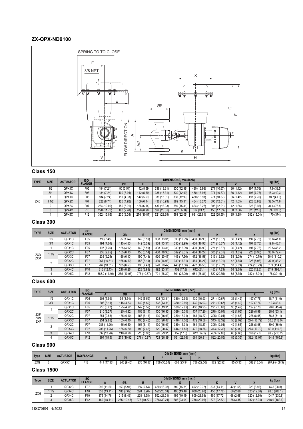#### **ZX-QPX-ND9100**



#### **Class 150**

| <b>TYPE</b> | <b>SIZE</b> | <b>ACTUATOR</b> | <b>ISO</b>      |             |            |             |             | DIMENSIONS, mm (inch) |             |             |           |             | kg (lbs)    |
|-------------|-------------|-----------------|-----------------|-------------|------------|-------------|-------------|-----------------------|-------------|-------------|-----------|-------------|-------------|
|             |             |                 | <b>FLANGE</b>   |             | ØΒ         |             |             |                       |             |             |           |             |             |
|             | 1/2         | QPX1C           | F05             | 184 (7.24)  | 90 (3.54)  | 142 (5.59)  | 338 (13.31) | 330 (12.99)           | 430 (16.93) | 271 (10.67) | 36 (1.42) | 197 (7.76)  | 17.9 (39.5) |
|             | 3/4         | QPX1C           | F05             | 184 (7.24)  | 100 (3.94) | 142 (5.59)  | 338 (13.31) | 330 (12.99)           | 430 (16.93) | 271 (10.67) | 36(1.42)  | 197 (7.76)  | 18.3 (40,3) |
|             |             | QPX1C           | F05             | 184 (7.24)  | 110 (4.33) | 142 (5.59)  | 338 (13.31) | 330 (12.99)           | 430 (16.93) | 271 (10.67) | 36 (1.42) | 197 (7.76)  | 18.7(41.0)  |
| ZXC         | 11/2        | QPX2C           | F07             | 222 (8.74)  | 125 (4.92) | 156 (6.14)  | 430 (16.93) | 389 (15.31)           | 464 (18.27) | 305 (12.01) | 42 (1.65) | 228 (8.98)  | 32.5(71.6)  |
|             |             | QPX2C           | F07             | 254 (10.00) | 150 (5.91) | 156 (6.14)  | 430 (16.93) | 389 (15.31)           | 464 (18.27) | 305 (12.01) | 42 (1.65) | 228 (8.98)  | 34.4 (75.8) |
|             |             | QPX4C           | F <sub>10</sub> | 298 (11.73) | 190 (7.48) | 228 (8.98)  | 592 (23.31) | 452 (17.8)            | 612 (24.1)  | 453 (17.83) | 68 (2.68) | 320 (12.6)  | 83 (182.6)  |
|             |             | QPX5C           | F12             | 352 (13.85) | 230 (9.05) | 276 (10.87) | 721 (28.39) | 561 (22.09)           | 681 (26.81) | 522 (20.55) | 85 (3.35) | 382 (15.04) | 170 (374)   |

#### **Class 300**

| <b>TYPE</b>       | <b>SIZE</b> | <b>ACTUATOR</b> | <b>ISO</b>      |               |             |             |             | DIMENSIONS, mm (inch) |             |             |           |             | kg (lbs)     |
|-------------------|-------------|-----------------|-----------------|---------------|-------------|-------------|-------------|-----------------------|-------------|-------------|-----------|-------------|--------------|
|                   |             |                 | <b>FLANGE</b>   |               | ØB          |             |             | G                     |             | N           |           |             |              |
|                   | 1/2         | QPX1C           | F05             | 190(7.48)     | 95 (3.74)   | 142 (5.59)  | 338 (13.31) | 330 (12.99)           | 430 (16.93) | 271 (10.67) | 36 (1.42) | 197 (7.76)  | 18.6 (41.0)  |
|                   | 3/4         | QPX1C           | F05             | 194 (7.64)    | 115(4.53)   | 142 (5.59)  | 338 (13.31) | 330 (12.99)           | 430 (16.93) | 271 (10.67) | 36 (1.42) | 197 (7.76)  | 19.8 (43.7)  |
|                   |             | QPX1C           | F05             | 197 (7.76)    | 125 (4.92)  | 142 (5.59)  | 338 (13.31) | 330 (12.99)           | 430 (16.93) | 271 (10.67) | 36 (1.42) | 197 (7.76)  | 20.5 (45.2)  |
|                   | 11/2        | QPX2C           | F07             | 235(9.25)     | 155(6.10)   | 156 (6.14)  | 430 (16.93) | 389 (15.31)           | 464 (18.27) | 305 (12.01) | 42 (1.65) | 228 (8.98)  | 36.0 (79.4)  |
| ZXD<br><b>ZXM</b> |             | QPX3C           | F07             | 235 (9.25)    | 155 (6.10)  | 190 (7.48)  | 520 (20.47) | 446 (17.56)           | 472 (18.58) | 313 (12.32) | 53 (2.09) | 274 (10.79) | 50.0 (110.2) |
|                   |             | QPX2C           | F07             | 267 (10.51)   | 165 (6.50)  | 156 (6.14)  | 430 (16.93) | 389 (15.31)           | 464 (18.27) | 305 (12.01) | 42 (1.65) | 228 (8.98)  | 37.9(83.2)   |
|                   |             | QPX3C           | F07             | 267 (10.51)   | 165 (6.50)  | 190 (7.48)  | 520 (20.47) | 446 (17.56)           | 472 (18.58) | 313 (12.32) | 53 (2.09) | 274 (10.79) | 51.9 (114.4) |
|                   |             | QPX4C           | F <sub>10</sub> | 316 (12.43)   | 210(8.26)   | 228 (8.98)  | 592 (23.31) | 452 (17.8)            | 612 (24.1)  | 453 (17.83) | 68 (2.68) | 320 (12.6)  | 87.9 (193.4) |
|                   |             | QPX5C           | F <sub>12</sub> | 368.2 (14.49) | 255 (10.03) | 276 (10.87) | 721 (28.39) | 561 (22.09)           | 681 (26.81) | 522 (20.55) | 85 (3.35) | 382 (15.04) | (391.6)      |

#### **Class 600**

| <b>TYPE</b> | <b>SIZE</b> | <b>ACTUATOR</b> | <b>ISO</b>      |                |             |             |             | DIMENSIONS, mm (inch) |             |             |           |             |               |
|-------------|-------------|-----------------|-----------------|----------------|-------------|-------------|-------------|-----------------------|-------------|-------------|-----------|-------------|---------------|
|             |             |                 | <b>FLANGE</b>   |                | ØB          |             |             | G                     | н           |             |           |             | kg (lbs)      |
|             | 1/2         | QPX1C           | F05             | 203 (7.99)     | 95 (3.74)   | 142 (5.59)  | 338 (13.31) | 330 (12.99)           | 430 (16.93) | 271 (10.67) | 36 (1.42) | 197 (7.76)  | 18.7 (41.0)   |
|             | 3/4         | QPX1C           | F05             | 206(8.11)      | 115(4.53)   | 142 (5.59)  | 338 (13.31) | 330 (12.99)           | 430 (16.93) | 271 (10.67) | 36(1.42)  | 197 (7.76)  | 19.7(43.4)    |
|             |             | QPX1C           | F05             | 210 (8.27)     | 125 (4.92)  | 142 (5.59)  | 338 (13.31) | 330 (12.99)           | 430 (16.93) | 271 (10.67) | 36 (1.42) | 197 (7.76)  | 20.6 (45.4)   |
|             |             | QPX2C           | F07             | 210 (8.27)     | 125 (4.92)  | 156 (6.14)  | 430 (16.93) | 389 (15.31)           | 437 (17.20) | 278 (10.94) | 42 (1.65) | 228 (8.98)  | 28.6 (63.1)   |
| ZXF<br>ZXN  | 11/2        | QPX2C           | F07             | 251 (9.88)     | 155 (6.10)  | 156 (6.14)  | 430 (16.93) | 389 (15.31)           | 464 (18.27) | 305 (12.01) | 42 (1.65) | 228 (8.98)  | 36.8 (81.1)   |
| ZXP         |             | QPX3C           | F07             | 251 (9.88)     | 155(6.10)   | 190 (7.48)  | 520 (20.47) | 446 (17.56)           | 472 (18.58) | 313 (12.32) | 53 (2.09) | 274 (10.79) | 50.8 (112.0)  |
|             |             | QPX2C           | F07             | 286 (11.26)    | 165 (6.50)  | 156 (6.14)  | 430 (16.93) | 389 (15.31)           | 464 (18.27) | 305 (12.01) | 42 (1.65) | 228 (8.98)  | 39.0 (86.0)   |
|             |             | QPX3C           | F07             | 286 (11.26)    | 165(6.50)   | 190 (7.48)  | 520 (20.47) | 446 (17.56)           | 472 (18.58) | 313 (12.32) | 53 (2.09) | 274 (10.79) | 53.0(116.8)   |
|             |             | QPX4C           | F <sub>10</sub> | 337<br>(13.26) | 210 (8.26)  | 228 (8.98)  | 592 (23.31) | 452 (17.8)            | 612 (24.1)  | 453 (17.83) | 68 (2.68) | 320 (12.6)  | 96.9 (213.2)  |
|             |             | QPX5C           | F <sub>12</sub> | 394 (15.5)     | 275 (10.82) | 276 (10.87) | 721 (28.39) | 561 (22.09)           | 681 (26.81  | 522 (20.55) | 85 (3.35) | 382 (15.04) | 184.5 (405.9) |

#### **Class 900**

| Type       | <b>SIZE</b><br><b>ACTUATOR</b> | <b>ISO FLANGE</b> |           |                     |            |             | DIMENSIONS, mm (inch) |             |             |             |          | kg (lbs)    |               |
|------------|--------------------------------|-------------------|-----------|---------------------|------------|-------------|-----------------------|-------------|-------------|-------------|----------|-------------|---------------|
|            |                                |                   |           |                     | ØB         |             |                       |             |             |             |          |             |               |
| <b>ZXC</b> |                                | QPX5C             | F A<br>-- | (17.36)<br>111<br>4 | 240 (9.45) | 276 (10.87) | 768 (30.24)           | 608 (23.94) | 738 (29.06) | 572 (22.52) | 85 (3.35 | 382 (15.04) | 207.9 (458.3) |

|             | <b>SIZE</b><br><b>ACTUATOR</b> |       | <b>ISO</b>      |             | DIMENSIONS, mm (inch) |             |             |             |             |             |           |             |               |  |
|-------------|--------------------------------|-------|-----------------|-------------|-----------------------|-------------|-------------|-------------|-------------|-------------|-----------|-------------|---------------|--|
| <b>Type</b> |                                |       | <b>FLANGE</b>   |             | ØΒ                    |             |             |             |             |             |           |             | kg (lbs)      |  |
|             |                                | QPX2C | F07             | 292 (11.50) | 150 (5.91)            | 156 (6.14)  | 430 (16.93) | 389 (15.31) | 492 (19.37) | 333 (13.11) | 42 (1.65) | 228 (8.98)  | 44.8 (98.8)   |  |
| ZXH         | 1/2                            | QPX4C | F10             | 333 (13.11) | 180 (7.09)            | 228 (8.98)  | 592 (23.31) | 495 (19.49) | 609 (23.98) | 450 (17.72) | 68 (2.68) | 320 (12.60) | 93.5 (206.1)  |  |
|             |                                | QPX4C | F <sub>10</sub> | 375 (14.76) | 215(8.46)             | 228 (8.98)  | 592 (23.31) | 495 (19.49) | 609 (23.98) | 450 (17.72) | 68 (2.68) | 320 (12.60) | 104.7 (230.8) |  |
|             |                                | QPX5C | F12             | 460 (18.11) | 265 (10.43)           | 276 (10.87) | 768 (30.24) | 608 (23.94) | 738 (29.06) | 572 (22.52) | 85 (3.35) | 382 (15.04) | 218.9 (482.6) |  |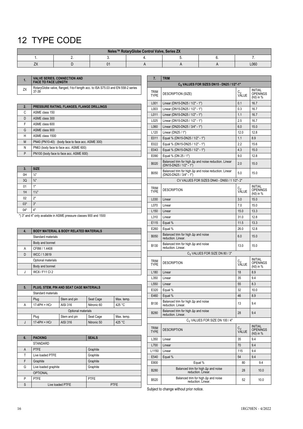## <span id="page-15-0"></span>12 TYPE CODE

| Neles™ RotaryGlobe Control Valve, Series ZX |  |  |  |  |  |      |  |  |  |  |
|---------------------------------------------|--|--|--|--|--|------|--|--|--|--|
|                                             |  |  |  |  |  |      |  |  |  |  |
| <u>_</u>                                    |  |  |  |  |  | L060 |  |  |  |  |

**1. VALVE SERIES, CONNECTION AND FACE TO FACE LENGTH** ZX <br>
27 37-39<br>
27-39<br>
27-39

| 2. | PRESSURE RATING, FLANGES, FLANGE DRILLINGS       |
|----|--------------------------------------------------|
| C  | ASME class 150                                   |
| D  | ASME class 300                                   |
| F  | ASME class 600                                   |
| G  | ASME class 900                                   |
| н  | ASME class 1500                                  |
| M  | PN40 (PN10-40) (body face to face acc. ASME 300) |
| N  | PN63 (body face to face acc. ASME 600)           |
| P  | PN100 (body face to face acc. ASME 600)          |

| 3.    | <b>SIZE</b>     |
|-------|-----------------|
| 0H    | $\frac{1}{2}$   |
| 3Q    | $\frac{3}{4}$ " |
| 01    | 1"              |
| 1H    | $1\frac{1}{2}$  |
| 02    | 2"              |
| $03*$ | 3"              |
| $04*$ | 4"              |

\*) 3" and 4" only available in ASME pressure classes 900 and 1500

| 4. | <b>BODY MATERIAL &amp; BODY RELATED MATERIALS</b> |
|----|---------------------------------------------------|
|    | Standard materials                                |
|    | Body and bonnet                                   |
| Α  | CF8M / 1.4408                                     |
| D  | WCC / 1.0619                                      |
|    | Optional materials                                |
|    | Body and bonnet                                   |
|    | WC6 / F11 Cl 2                                    |

| 5.                 | PLUG, STEM, PIN AND SEAT CAGE MATERIALS |                 |             |            |  |  |  |
|--------------------|-----------------------------------------|-----------------|-------------|------------|--|--|--|
| Standard materials |                                         |                 |             |            |  |  |  |
|                    | Plug                                    | Stem and pin    | Seat Cage   | Max. temp. |  |  |  |
| Α                  | 17-4PH + HCr                            | AISI 316        | Nitronic 60 | 425 °C     |  |  |  |
| Optional materials |                                         |                 |             |            |  |  |  |
|                    | Plug                                    | Stem and pin    | Seat Cage   | Max. temp. |  |  |  |
| J                  | 17-4PH + HCr                            | <b>AISI 316</b> | Nitronic 50 | 425 °C     |  |  |  |

| 6. | <b>PACKING</b>       | <b>SEALS</b> |
|----|----------------------|--------------|
|    | <b>STANDARD</b>      |              |
| A  | <b>PTFE</b>          | Graphite     |
| T  | Live loaded PTFE     | Graphite     |
| F  | Graphite             | Graphite     |
| G  | Live loaded graphite | Graphite     |
|    | <b>OPTIONAL</b>      |              |
| P  | <b>PTFE</b>          | <b>PTFE</b>  |
| S  | Live loaded PTFE     | <b>PTFE</b>  |

| 7.                                                    | <b>TRIM</b>                                                                              |                         |                                                |  |  |  |  |
|-------------------------------------------------------|------------------------------------------------------------------------------------------|-------------------------|------------------------------------------------|--|--|--|--|
| C <sub>V</sub> VALUES FOR SIZES DN15 - DN25 / 1/2"-1" |                                                                                          |                         |                                                |  |  |  |  |
| <b>TRIM</b><br><b>TYPE</b>                            | DESCRIPTION (SIZE)                                                                       | C <sub>V</sub><br>VALUE | <b>INITIAL</b><br>OPENINGS<br>(h0) in %        |  |  |  |  |
| L001                                                  | Linear (DN15-DN25 / 1/2" - 1")                                                           | 0.1                     | 16.7                                           |  |  |  |  |
| L003                                                  | Linear (DN15-DN25 / 1/2" - 1")                                                           | 0.3                     | 16.7                                           |  |  |  |  |
| L011                                                  | Linear (DN15-DN25 / 1/2" - 1")                                                           | 1.1                     | 16.7                                           |  |  |  |  |
| L025                                                  | Linear (DN15-DN25 / 1/2" - 1")                                                           | 2.5                     | 16.7                                           |  |  |  |  |
| L060                                                  | Linear (DN20-DN25 / 3/4" - 1")                                                           | 6.0                     | 15.0                                           |  |  |  |  |
| L <sub>120</sub>                                      | Linear (DN25 / 1")                                                                       | 12.0                    | 12.8                                           |  |  |  |  |
| E011                                                  | Equal % (DN15-DN25 / 1/2" - 1")                                                          | 1.1                     | 8.9                                            |  |  |  |  |
| E022                                                  | Equal % (DN15-DN25 / 1/2" - 1")                                                          | 2.2                     | 15.6                                           |  |  |  |  |
| E043                                                  | Equal % (DN15-DN25 / 1/2" - 1")                                                          | 4.3                     | 15.0                                           |  |  |  |  |
| E090                                                  | Equal % (DN 25 / 1")                                                                     | 9.0                     | 12.8                                           |  |  |  |  |
| B020                                                  | Balanced trim for high $\Delta p$ and noise reduction. Linear<br>(DN15-DN25 / 1/2" - 1") | 2.0                     | 15.0                                           |  |  |  |  |
| <b>B050</b>                                           | Balanced trim for high $\Delta p$ and noise reduction. Linear<br>(DN20-DN25 / 3/4" - 1") | 5.0                     | 15.0                                           |  |  |  |  |
|                                                       | CV VALUES FOR SIZES DN40 - DN50 / 1 1/2"- 2"                                             |                         |                                                |  |  |  |  |
| <b>TRIM</b><br><b>TYPE</b>                            | <b>DESCRIPTION</b>                                                                       | C <sub>V</sub><br>VALUE | <b>INITIAL</b><br><b>OPENINGS</b><br>(h0) in % |  |  |  |  |
| L030                                                  | Linear                                                                                   | 3.0                     | 15.0                                           |  |  |  |  |
| L070                                                  | Linear                                                                                   | 7.0                     | 15.0                                           |  |  |  |  |
| L <sub>150</sub>                                      | Linear                                                                                   | 15.0                    | 13.3                                           |  |  |  |  |
| L310                                                  | Linear                                                                                   | 31.0                    | 12.8                                           |  |  |  |  |
| E115                                                  | Equal %                                                                                  | 11.5                    | 13.3                                           |  |  |  |  |
| E260                                                  | Equal %                                                                                  | 26.0                    | 12.8                                           |  |  |  |  |
| <b>B050</b>                                           | Balanced trim for high $\Delta p$ and noise<br>reduction. Linear.                        | 6.0                     | 15.0                                           |  |  |  |  |
| B <sub>130</sub>                                      | Balanced trim for high $\Delta p$ and noise<br>reduction. Linear.                        | 13.0                    | 15.0                                           |  |  |  |  |
|                                                       | C <sub>V</sub> VALUES FOR SIZE DN 80 / 3"                                                |                         |                                                |  |  |  |  |
| <b>TRIM</b><br><b>TYPE</b>                            | <b>DESCRIPTION</b>                                                                       | C <sub>V</sub><br>VALUE | INITIAL<br><b>OPENINGS</b><br>(h0) in %        |  |  |  |  |
| L <sub>180</sub>                                      | Linear                                                                                   | 18                      | 8.9                                            |  |  |  |  |
| L350                                                  | Linear                                                                                   | 35                      | 9.4                                            |  |  |  |  |
| L550                                                  | Linear                                                                                   | 55                      | 8.3                                            |  |  |  |  |
| E320                                                  | Equal %                                                                                  | 32                      | 10.0                                           |  |  |  |  |
| E460                                                  | Equal %                                                                                  | 46                      | 8.9                                            |  |  |  |  |
| B130                                                  | Balanced trim for high $\Delta p$ and noise<br>reduction. Linear.                        | 13                      | 9.4                                            |  |  |  |  |
| B280                                                  | Balanced trim for high $\Delta p$ and noise<br>reduction. Linear.                        | 28                      | 9.4                                            |  |  |  |  |
|                                                       | C <sub>V</sub> VALUES FOR SIZE DN 100 / 4"                                               |                         |                                                |  |  |  |  |
| <b>TRIM</b><br><b>TYPE</b>                            | <b>DESCRIPTION</b>                                                                       | C <sub>V</sub><br>VALUE | INITIAL<br>OPENINGS<br>(h0) in %               |  |  |  |  |
| L350                                                  | Linear                                                                                   | 35                      | 9.4                                            |  |  |  |  |
| L700                                                  | Linear                                                                                   | 70                      | 9.4                                            |  |  |  |  |
| L1150                                                 | Linear                                                                                   | 115                     | 9.4                                            |  |  |  |  |
| E540                                                  | Equal %                                                                                  | 54                      | 9.4                                            |  |  |  |  |
| E800                                                  | Equal %                                                                                  | 80                      | 9.4                                            |  |  |  |  |
| B <sub>280</sub>                                      | Balanced trim for high $\Delta p$ and noise<br>reduction. Linear.                        | 28                      | 10.0                                           |  |  |  |  |
| B520                                                  | Balanced trim for high Ap and noise<br>reduction. Linear.                                | 52                      | 10.0                                           |  |  |  |  |

Subject to change without prior notice.